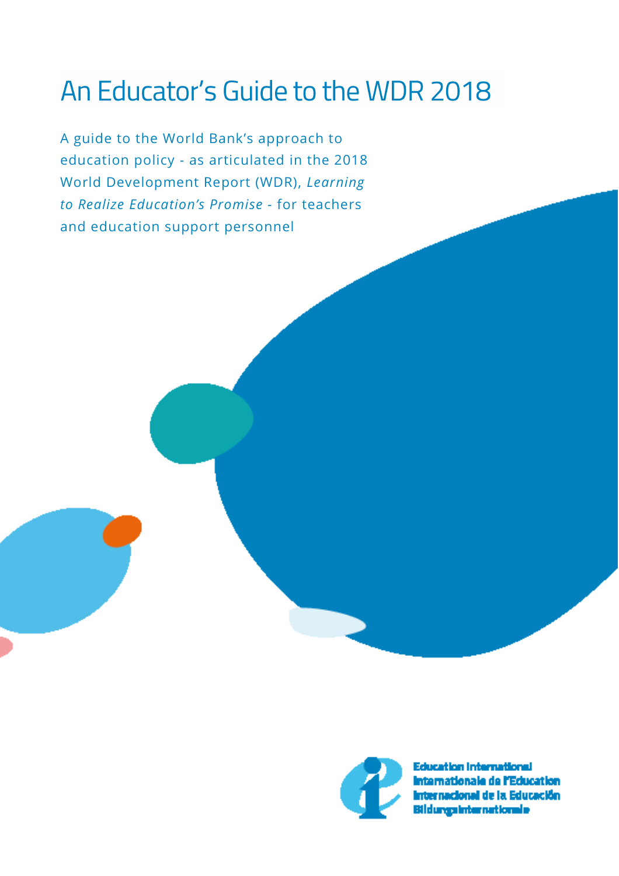## An Educator's Guide to the WDR 2018

A guide to the World Bank's approach to education policy - as articulated in the 2018 World Development Report (WDR), *Learning to Realize Education's Promise -* for teachers and education support personnel



Education International amationale de l'Education ud de la Educación Bildungsinternationale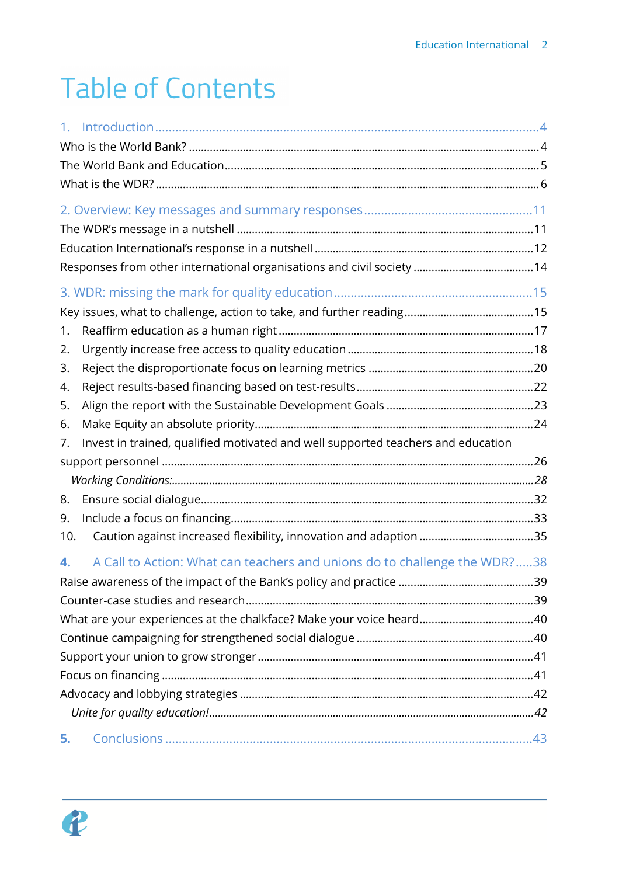## **Table of Contents**

| 1.  |                                                                                  |  |
|-----|----------------------------------------------------------------------------------|--|
| 2.  |                                                                                  |  |
| 3.  |                                                                                  |  |
| 4.  |                                                                                  |  |
| 5.  |                                                                                  |  |
| 6.  |                                                                                  |  |
| 7.  | Invest in trained, qualified motivated and well supported teachers and education |  |
|     |                                                                                  |  |
|     |                                                                                  |  |
| 8.  |                                                                                  |  |
| 9.  |                                                                                  |  |
| 10. |                                                                                  |  |
| 4.  | A Call to Action: What can teachers and unions do to challenge the WDR?38        |  |
|     |                                                                                  |  |
|     |                                                                                  |  |
|     |                                                                                  |  |
|     |                                                                                  |  |
|     |                                                                                  |  |
|     |                                                                                  |  |
|     |                                                                                  |  |
|     |                                                                                  |  |
| 5.  |                                                                                  |  |

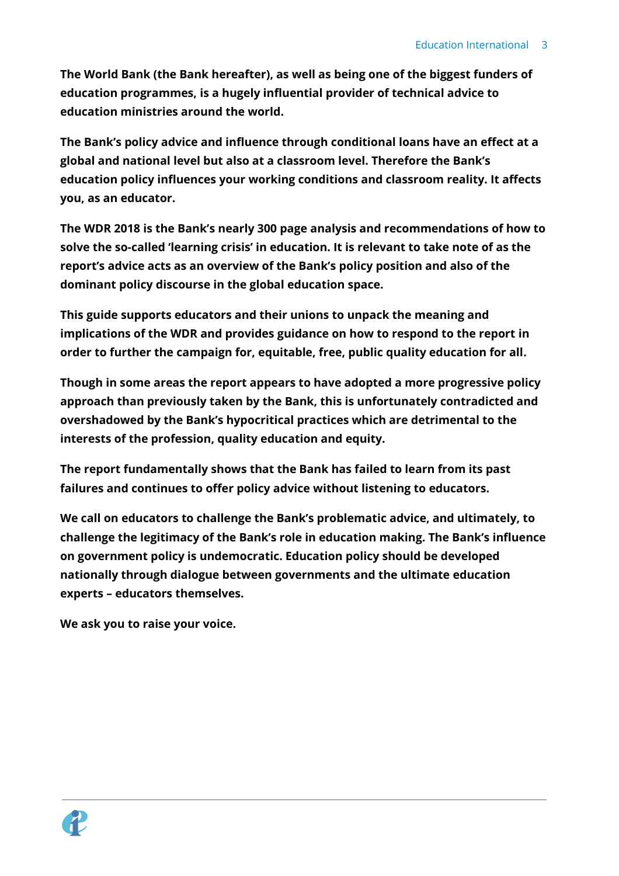**The World Bank (the Bank hereafter), as well as being one of the biggest funders of education programmes, is a hugely influential provider of technical advice to education ministries around the world.** 

**The Bank's policy advice and influence through conditional loans have an effect at a global and national level but also at a classroom level. Therefore the Bank's education policy influences your working conditions and classroom reality. It affects you, as an educator.** 

**The WDR 2018 is the Bank's nearly 300 page analysis and recommendations of how to solve the so-called 'learning crisis' in education. It is relevant to take note of as the report's advice acts as an overview of the Bank's policy position and also of the dominant policy discourse in the global education space.** 

**This guide supports educators and their unions to unpack the meaning and implications of the WDR and provides guidance on how to respond to the report in order to further the campaign for, equitable, free, public quality education for all.** 

**Though in some areas the report appears to have adopted a more progressive policy approach than previously taken by the Bank, this is unfortunately contradicted and overshadowed by the Bank's hypocritical practices which are detrimental to the interests of the profession, quality education and equity.**

**The report fundamentally shows that the Bank has failed to learn from its past failures and continues to offer policy advice without listening to educators.**

**We call on educators to challenge the Bank's problematic advice, and ultimately, to challenge the legitimacy of the Bank's role in education making. The Bank's influence on government policy is undemocratic. Education policy should be developed nationally through dialogue between governments and the ultimate education experts – educators themselves.** 

**We ask you to raise your voice.** 

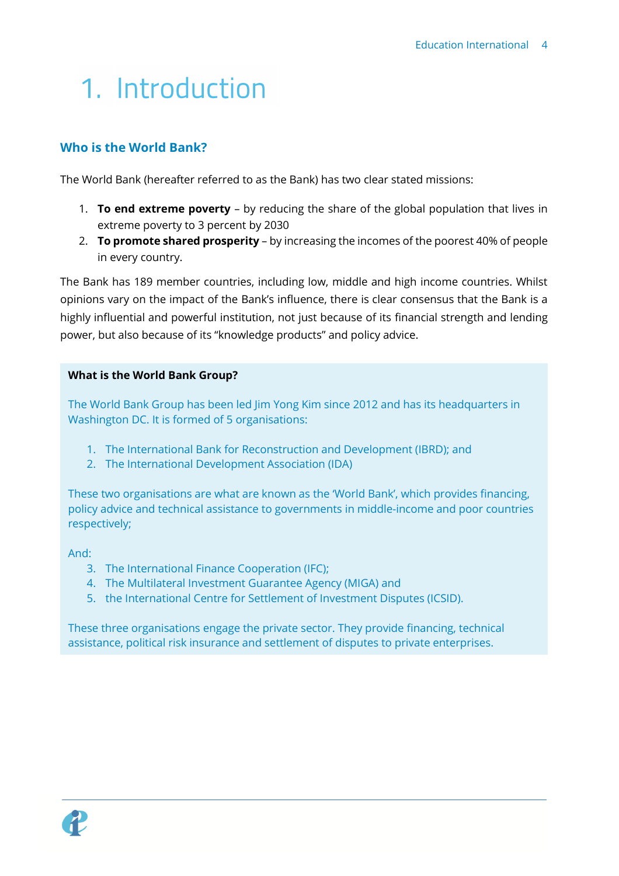## <span id="page-3-0"></span>1. Introduction

## <span id="page-3-1"></span>**Who is the World Bank?**

The World Bank (hereafter referred to as the Bank) has two clear stated missions:

- 1. **To end extreme poverty** by reducing the share of the global population that lives in extreme poverty to 3 percent by 2030
- 2. **To promote shared prosperity** by increasing the incomes of the poorest 40% of people in every country.

The Bank has 189 member countries, including low, middle and high income countries. Whilst opinions vary on the impact of the Bank's influence, there is clear consensus that the Bank is a highly influential and powerful institution, not just because of its financial strength and lending power, but also because of its "knowledge products" and policy advice.

#### **What is the World Bank Group?**

The World Bank Group has been led Jim Yong Kim since 2012 and has its headquarters in Washington DC. It is formed of 5 organisations:

- 1. The International Bank for Reconstruction and Development (IBRD); and
- 2. The International Development Association (IDA)

These two organisations are what are known as the 'World Bank', which provides financing, policy advice and technical assistance to governments in middle-income and poor countries respectively;

And:

- 3. The International Finance Cooperation (IFC);
- 4. The Multilateral Investment Guarantee Agency (MIGA) and
- 5. the International Centre for Settlement of Investment Disputes (ICSID).

These three organisations engage the private sector. They provide financing, technical assistance, political risk insurance and settlement of disputes to private enterprises.

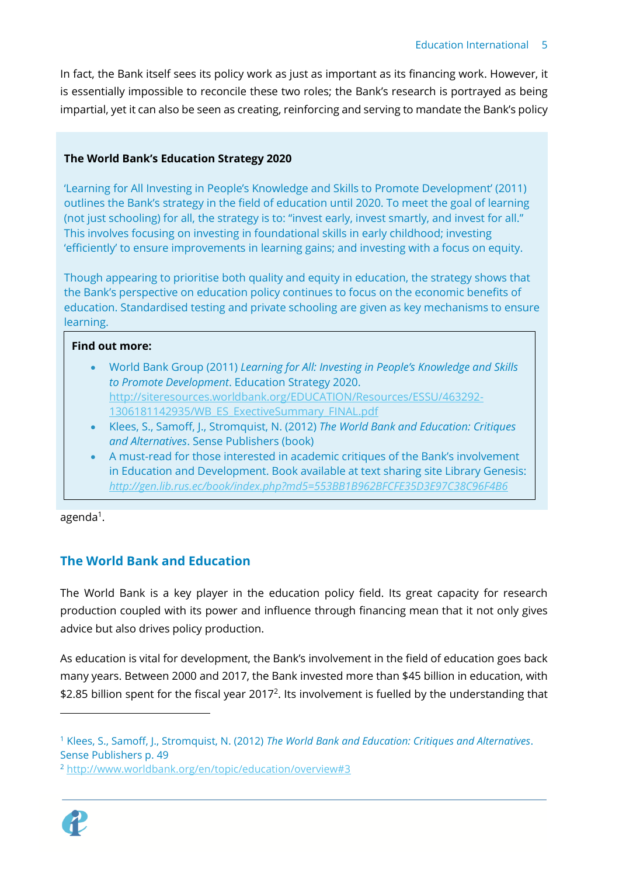In fact, the Bank itself sees its policy work as just as important as its financing work. However, it is essentially impossible to reconcile these two roles; the Bank's research is portrayed as being impartial, yet it can also be seen as creating, reinforcing and serving to mandate the Bank's policy

## **The World Bank's Education Strategy 2020**

'Learning for All Investing in People's Knowledge and Skills to Promote Development' (2011) outlines the Bank's strategy in the field of education until 2020. To meet the goal of learning (not just schooling) for all, the strategy is to: "invest early, invest smartly, and invest for all." This involves focusing on investing in foundational skills in early childhood; investing 'efficiently' to ensure improvements in learning gains; and investing with a focus on equity.

Though appearing to prioritise both quality and equity in education, the strategy shows that the Bank's perspective on education policy continues to focus on the economic benefits of education. Standardised testing and private schooling are given as key mechanisms to ensure learning.

#### **Find out more:**

- World Bank Group (2011) *Learning for All: Investing in People's Knowledge and Skills to Promote Development*. Education Strategy 2020. [http://siteresources.worldbank.org/EDUCATION/Resources/ESSU/463292-](http://siteresources.worldbank.org/EDUCATION/Resources/ESSU/463292-1306181142935/WB_ES_ExectiveSummary_FINAL.pdf) [1306181142935/WB\\_ES\\_ExectiveSummary\\_FINAL.pdf](http://siteresources.worldbank.org/EDUCATION/Resources/ESSU/463292-1306181142935/WB_ES_ExectiveSummary_FINAL.pdf)
- Klees, S., Samoff, J., Stromquist, N. (2012) *The World Bank and Education: Critiques and Alternatives*. Sense Publishers (book)
- A must-read for those interested in academic critiques of the Bank's involvement in Education and Development. Book available at text sharing site Library Genesis: *<http://gen.lib.rus.ec/book/index.php?md5=553BB1B962BFCFE35D3E97C38C96F4B6>*

agenda<sup>1</sup>.

## <span id="page-4-0"></span>**The World Bank and Education**

The World Bank is a key player in the education policy field. Its great capacity for research production coupled with its power and influence through financing mean that it not only gives advice but also drives policy production.

As education is vital for development, the Bank's involvement in the field of education goes back many years. Between 2000 and 2017, the Bank invested more than \$45 billion in education, with \$2.85 billion spent for the fiscal year 2017<sup>2</sup>. Its involvement is fuelled by the understanding that

<sup>2</sup> <http://www.worldbank.org/en/topic/education/overview#3>



<sup>1</sup> Klees, S., Samoff, J., Stromquist, N. (2012) *The World Bank and Education: Critiques and Alternatives*. Sense Publishers p. 49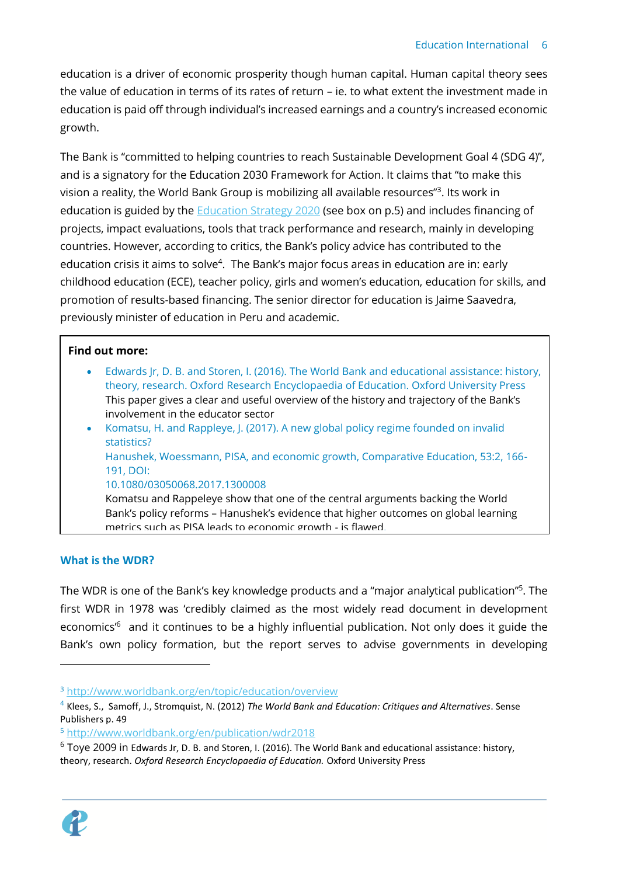education is a driver of economic prosperity though human capital. Human capital theory sees the value of education in terms of its rates of return – ie. to what extent the investment made in education is paid off through individual's increased earnings and a country's increased economic growth.

The Bank is "committed to helping countries to reach Sustainable Development Goal 4 (SDG 4)", and is a signatory for the Education 2030 Framework for Action. It claims that "to make this vision a reality, the World Bank Group is mobilizing all available resources"<sup>3</sup>. Its work in education is guided by the **Education Strategy 2020** (see box on p.5) and includes financing of projects, impact evaluations, tools that track performance and research, mainly in developing countries. However, according to critics, the Bank's policy advice has contributed to the education crisis it aims to solve<sup>4</sup>. The Bank's major focus areas in education are in: early childhood education (ECE), teacher policy, girls and women's education, education for skills, and promotion of results-based financing. The senior director for education is Jaime Saavedra, previously minister of education in Peru and academic.

#### **Find out more:**

• Edwards Jr, D. B. and Storen, I. (2016). The World Bank and educational assistance: history, theory, research. Oxford Research Encyclopaedia of Education. Oxford University Press This paper gives a clear and useful overview of the history and trajectory of the Bank's involvement in the educator sector • Komatsu, H. and Rappleye, J. (2017). A new global policy regime founded on invalid statistics? Hanushek, Woessmann, PISA, and economic growth, Comparative Education, 53:2, 166- 191, DOI: 10.1080/03050068.2017.1300008 Komatsu and Rappeleye show that one of the central arguments backing the World Bank's policy reforms – Hanushek's evidence that higher outcomes on global learning metrics such as PISA leads to economic growth - is flawed.

## <span id="page-5-0"></span>**What is the WDR?**

The WDR is one of the Bank's key knowledge products and a "major analytical publication"<sup>5</sup>. The first WDR in 1978 was 'credibly claimed as the most widely read document in development economics<sup>16</sup> and it continues to be a highly influential publication. Not only does it guide the Bank's own policy formation, but the report serves to advise governments in developing

 $6$  Toye 2009 in Edwards Jr, D. B. and Storen, I. (2016). The World Bank and educational assistance: history, theory, research. *Oxford Research Encyclopaedia of Education.* Oxford University Press



<sup>3</sup> <http://www.worldbank.org/en/topic/education/overview>

<sup>4</sup> Klees, S., Samoff, J., Stromquist, N. (2012) *The World Bank and Education: Critiques and Alternatives*. Sense Publishers p. 49

<sup>5</sup> <http://www.worldbank.org/en/publication/wdr2018>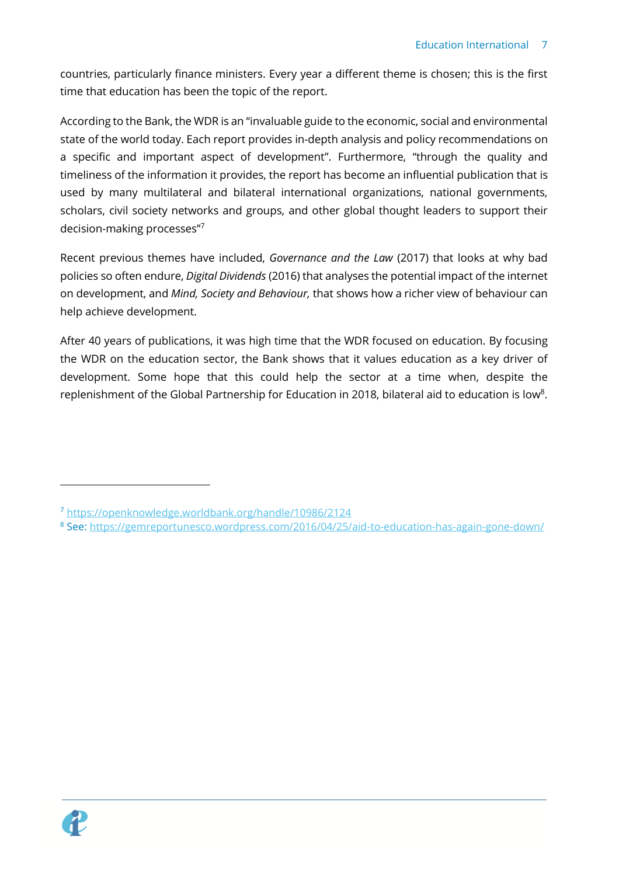countries, particularly finance ministers. Every year a different theme is chosen; this is the first time that education has been the topic of the report.

According to the Bank, the WDR is an "invaluable guide to the economic, social and environmental state of the world today. Each report provides in-depth analysis and policy recommendations on a specific and important aspect of development". Furthermore, "through the quality and timeliness of the information it provides, the report has become an influential publication that is used by many multilateral and bilateral international organizations, national governments, scholars, civil society networks and groups, and other global thought leaders to support their decision-making processes"<sup>7</sup>

Recent previous themes have included, *Governance and the Law* (2017) that looks at why bad policies so often endure, *Digital Dividends* (2016) that analyses the potential impact of the internet on development, and *Mind, Society and Behaviour,* that shows how a richer view of behaviour can help achieve development.

After 40 years of publications, it was high time that the WDR focused on education. By focusing the WDR on the education sector, the Bank shows that it values education as a key driver of development. Some hope that this could help the sector at a time when, despite the replenishment of the Global Partnership for Education in 2018, bilateral aid to education is low<sup>8</sup>.



<sup>7</sup> <https://openknowledge.worldbank.org/handle/10986/2124>

<sup>&</sup>lt;sup>8</sup> See:<https://gemreportunesco.wordpress.com/2016/04/25/aid-to-education-has-again-gone-down/>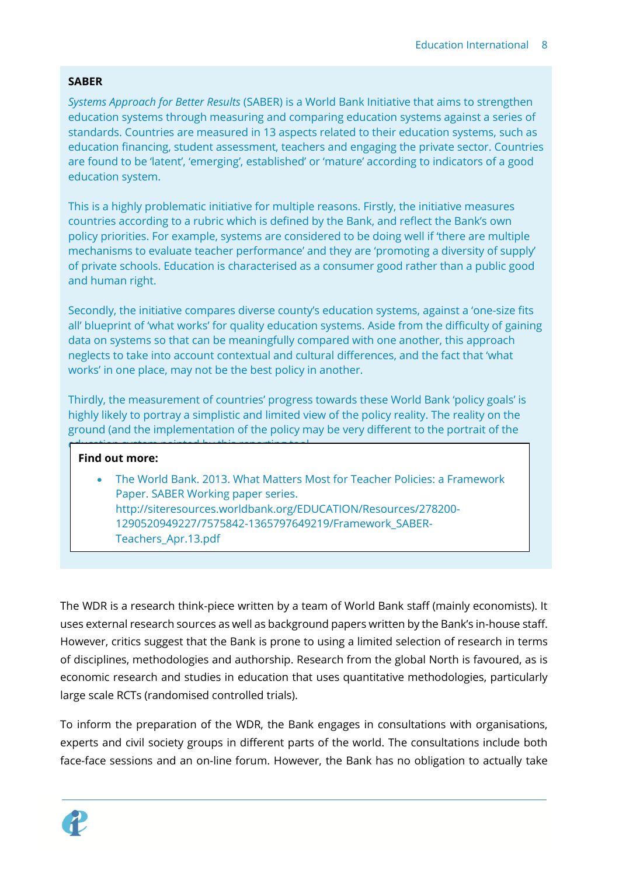### **SABER**

*Systems Approach for Better Results* (SABER) is a World Bank Initiative that aims to strengthen education systems through measuring and comparing education systems against a series of standards. Countries are measured in 13 aspects related to their education systems, such as education financing, student assessment, teachers and engaging the private sector. Countries are found to be 'latent', 'emerging', established' or 'mature' according to indicators of a good education system.

This is a highly problematic initiative for multiple reasons. Firstly, the initiative measures countries according to a rubric which is defined by the Bank, and reflect the Bank's own policy priorities. For example, systems are considered to be doing well if 'there are multiple mechanisms to evaluate teacher performance' and they are 'promoting a diversity of supply' of private schools. Education is characterised as a consumer good rather than a public good and human right.

Secondly, the initiative compares diverse county's education systems, against a 'one-size fits all' blueprint of 'what works' for quality education systems. Aside from the difficulty of gaining data on systems so that can be meaningfully compared with one another, this approach neglects to take into account contextual and cultural differences, and the fact that 'what works' in one place, may not be the best policy in another.

Thirdly, the measurement of countries' progress towards these World Bank 'policy goals' is highly likely to portray a simplistic and limited view of the policy reality. The reality on the ground (and the implementation of the policy may be very different to the portrait of the

#### **Find out more:**

education system painted by this reporting tool.

 $\mathcal{S}_\mathcal{S}$  is the sabel of the sabel . In the sabel  $\mathcal{S}_\mathcal{S}$  is the sabel of the sabel of the sabel  $\mathcal{S}_\mathcal{S}$ 

• The World Bank. 2013. What Matters Most for Teacher Policies: a Framework Paper. SABER Working paper series. [http://siteresources.worldbank.org/EDUCATION/Resources/278200-](http://siteresources.worldbank.org/EDUCATION/Resources/278200-1290520949227/7575842-1365797649219/Framework_SABER-Teachers_Apr.13.pdf) [1290520949227/7575842-1365797649219/Framework\\_SABER-](http://siteresources.worldbank.org/EDUCATION/Resources/278200-1290520949227/7575842-1365797649219/Framework_SABER-Teachers_Apr.13.pdf)[Teachers\\_Apr.13.pdf](http://siteresources.worldbank.org/EDUCATION/Resources/278200-1290520949227/7575842-1365797649219/Framework_SABER-Teachers_Apr.13.pdf)

The WDR is a research think-piece written by a team of World Bank staff (mainly economists). It uses external research sources as well as background papers written by the Bank's in-house staff. However, critics suggest that the Bank is prone to using a limited selection of research in terms of disciplines, methodologies and authorship. Research from the global North is favoured, as is economic research and studies in education that uses quantitative methodologies, particularly large scale RCTs (randomised controlled trials).

To inform the preparation of the WDR, the Bank engages in consultations with organisations, experts and civil society groups in different parts of the world. The consultations include both face-face sessions and an on-line forum. However, the Bank has no obligation to actually take

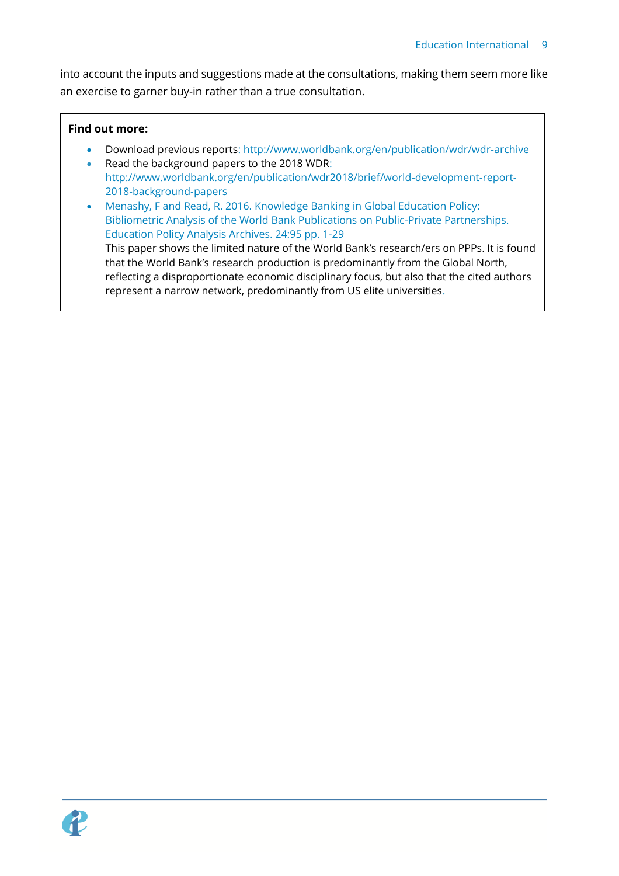into account the inputs and suggestions made at the consultations, making them seem more like an exercise to garner buy-in rather than a true consultation.

### **Find out more:**

- Download previous reports:<http://www.worldbank.org/en/publication/wdr/wdr-archive>
- Read the background papers to the 2018 WDR: [http://www.worldbank.org/en/publication/wdr2018/brief/world-development-report-](http://www.worldbank.org/en/publication/wdr2018/brief/world-development-report-2018-background-papers)[2018-background-papers](http://www.worldbank.org/en/publication/wdr2018/brief/world-development-report-2018-background-papers)
- Menashy, F and Read, R. 2016. Knowledge Banking in Global Education Policy: Bibliometric Analysis of the World Bank Publications on Public-Private Partnerships. Education Policy Analysis Archives. 24:95 pp. 1-29 This paper shows the limited nature of the World Bank's research/ers on PPPs. It is found that the World Bank's research production is predominantly from the Global North, reflecting a disproportionate economic disciplinary focus, but also that the cited authors represent a narrow network, predominantly from US elite universities.

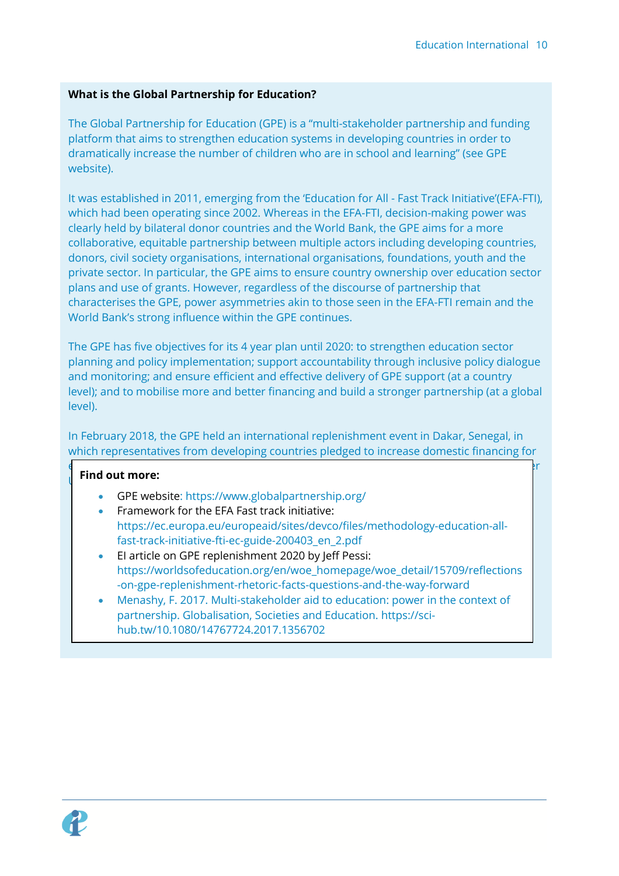## **What is the Global Partnership for Education?**

The Global Partnership for Education (GPE) is a "multi-stakeholder partnership and funding platform that aims to strengthen education systems in developing countries in order to dramatically increase the number of children who are in school and learning" (see GPE website).

It was established in 2011, emerging from the 'Education for All - Fast Track Initiative'(EFA-FTI), which had been operating since 2002. Whereas in the EFA-FTI, decision-making power was clearly held by bilateral donor countries and the World Bank, the GPE aims for a more collaborative, equitable partnership between multiple actors including developing countries, donors, civil society organisations, international organisations, foundations, youth and the private sector. In particular, the GPE aims to ensure country ownership over education sector plans and use of grants. However, regardless of the discourse of partnership that characterises the GPE, power asymmetries akin to those seen in the EFA-FTI remain and the World Bank's strong influence within the GPE continues.

The GPE has five objectives for its 4 year plan until 2020: to strengthen education sector planning and policy implementation; support accountability through inclusive policy dialogue and monitoring; and ensure efficient and effective delivery of GPE support (at a country level); and to mobilise more and better financing and build a stronger partnership (at a global level).

In February 2018, the GPE held an international replenishment event in Dakar, Senegal, in which representatives from developing countries pledged to increase domestic financing for

#### education and donor countries pledged funds for education. The GPE aimed to mobilise over **Find out more:**

- GPE website:<https://www.globalpartnership.org/>
- Framework for the EFA Fast track initiative: [https://ec.europa.eu/europeaid/sites/devco/files/methodology-education-all](https://ec.europa.eu/europeaid/sites/devco/files/methodology-education-all-fast-track-initiative-fti-ec-guide-200403_en_2.pdf)[fast-track-initiative-fti-ec-guide-200403\\_en\\_2.pdf](https://ec.europa.eu/europeaid/sites/devco/files/methodology-education-all-fast-track-initiative-fti-ec-guide-200403_en_2.pdf)
- EI article on GPE replenishment 2020 by Jeff Pessi: [https://worldsofeducation.org/en/woe\\_homepage/woe\\_detail/15709/reflections](https://worldsofeducation.org/en/woe_homepage/woe_detail/15709/reflections-on-gpe-replenishment-rhetoric-facts-questions-and-the-way-forward) [-on-gpe-replenishment-rhetoric-facts-questions-and-the-way-forward](https://worldsofeducation.org/en/woe_homepage/woe_detail/15709/reflections-on-gpe-replenishment-rhetoric-facts-questions-and-the-way-forward)
- Menashy, F. 2017. Multi-stakeholder aid to education: power in the context of partnership. Globalisation, Societies and Education. [https://sci](https://sci-hub.tw/10.1080/14767724.2017.1356702)[hub.tw/10.1080/14767724.2017.1356702](https://sci-hub.tw/10.1080/14767724.2017.1356702)

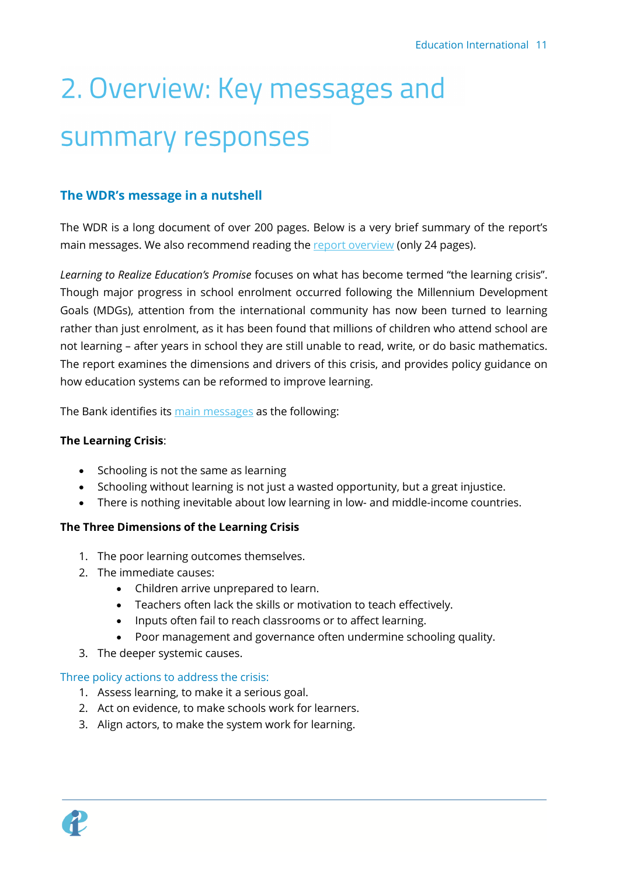# <span id="page-10-0"></span>2. Overview: Key messages and summary responses

## <span id="page-10-1"></span>**The WDR's message in a nutshell**

The WDR is a long document of over 200 pages. Below is a very brief summary of the report's main messages. We also recommend reading the **report overview** (only 24 pages).

*Learning to Realize Education's Promise* focuses on what has become termed "the learning crisis". Though major progress in school enrolment occurred following the Millennium Development Goals (MDGs), attention from the international community has now been turned to learning rather than just enrolment, as it has been found that millions of children who attend school are not learning – after years in school they are still unable to read, write, or do basic mathematics. The report examines the dimensions and drivers of this crisis, and provides policy guidance on how education systems can be reformed to improve learning.

The Bank identifies its [main messages](http://www.worldbank.org/en/publication/wdr2018) as the following:

### **The Learning Crisis**:

- Schooling is not the same as learning
- Schooling without learning is not just a wasted opportunity, but a great injustice.
- There is nothing inevitable about low learning in low- and middle-income countries.

## **The Three Dimensions of the Learning Crisis**

- 1. The poor learning outcomes themselves.
- 2. The immediate causes:
	- Children arrive unprepared to learn.
	- Teachers often lack the skills or motivation to teach effectively.
	- Inputs often fail to reach classrooms or to affect learning.
	- Poor management and governance often undermine schooling quality.
- 3. The deeper systemic causes.

#### Three policy actions to address the crisis:

- 1. Assess learning, to make it a serious goal.
- 2. Act on evidence, to make schools work for learners.
- 3. Align actors, to make the system work for learning.

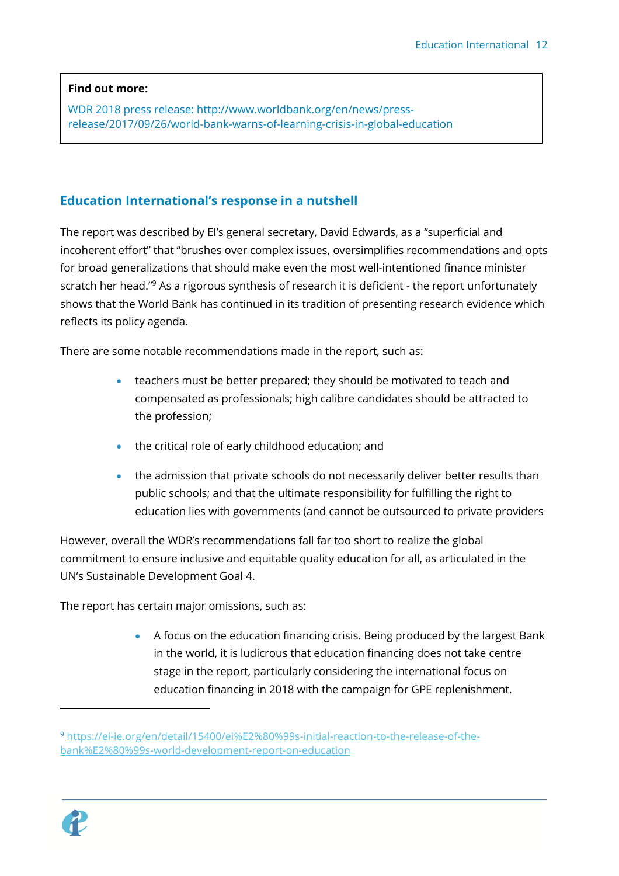## **Find out more:**

WDR 2018 press release: [http://www.worldbank.org/en/news/press](http://www.worldbank.org/en/news/press-release/2017/09/26/world-bank-warns-of-learning-crisis-in-global-education)[release/2017/09/26/world-bank-warns-of-learning-crisis-in-global-education](http://www.worldbank.org/en/news/press-release/2017/09/26/world-bank-warns-of-learning-crisis-in-global-education)

## <span id="page-11-0"></span>**Education International's response in a nutshell**

The report was described by EI's general secretary, David Edwards, as a "superficial and incoherent effort" that "brushes over complex issues, oversimplifies recommendations and opts for broad generalizations that should make even the most well-intentioned finance minister scratch her head."<sup>9</sup> As a rigorous synthesis of research it is deficient - the report unfortunately shows that the World Bank has continued in its tradition of presenting research evidence which reflects its policy agenda.

There are some notable recommendations made in the report, such as:

- teachers must be better prepared; they should be motivated to teach and compensated as professionals; high calibre candidates should be attracted to the profession;
- the critical role of early childhood education; and
- the admission that private schools do not necessarily deliver better results than public schools; and that the ultimate responsibility for fulfilling the right to education lies with governments (and cannot be outsourced to private providers

However, overall the WDR's recommendations fall far too short to realize the global commitment to ensure inclusive and equitable quality education for all, as articulated in the UN's Sustainable Development Goal 4.

The report has certain major omissions, such as:

• A focus on the education financing crisis. Being produced by the largest Bank in the world, it is ludicrous that education financing does not take centre stage in the report, particularly considering the international focus on education financing in 2018 with the campaign for GPE replenishment.



<sup>9</sup> [https://ei-ie.org/en/detail/15400/ei%E2%80%99s-initial-reaction-to-the-release-of-the](https://ei-ie.org/en/detail/15400/ei%E2%80%99s-initial-reaction-to-the-release-of-the-bank%E2%80%99s-world-development-report-on-education)[bank%E2%80%99s-world-development-report-on-education](https://ei-ie.org/en/detail/15400/ei%E2%80%99s-initial-reaction-to-the-release-of-the-bank%E2%80%99s-world-development-report-on-education)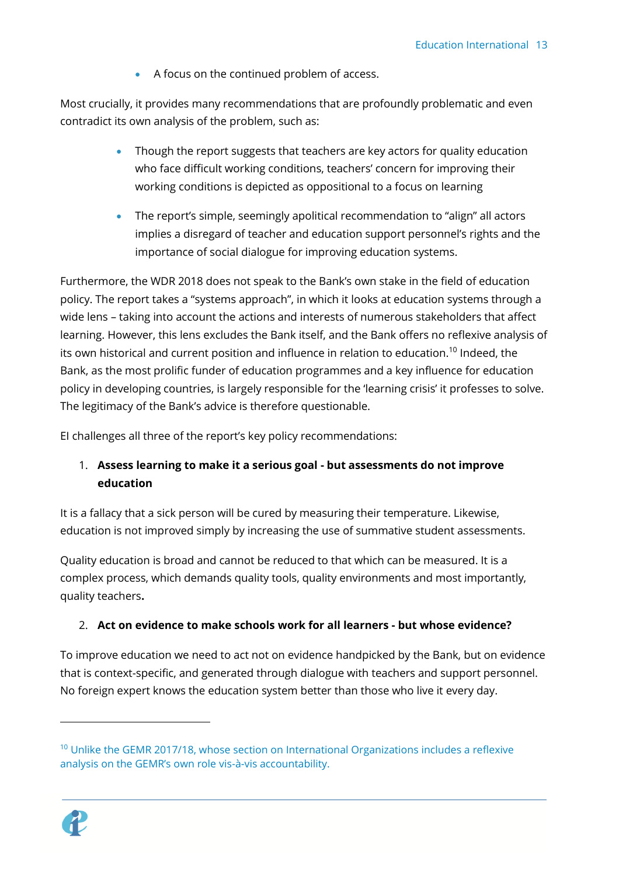• A focus on the continued problem of access.

Most crucially, it provides many recommendations that are profoundly problematic and even contradict its own analysis of the problem, such as:

- Though the report suggests that teachers are key actors for quality education who face difficult working conditions, teachers' concern for improving their working conditions is depicted as oppositional to a focus on learning
- The report's simple, seemingly apolitical recommendation to "align" all actors implies a disregard of teacher and education support personnel's rights and the importance of social dialogue for improving education systems.

Furthermore, the WDR 2018 does not speak to the Bank's own stake in the field of education policy. The report takes a "systems approach", in which it looks at education systems through a wide lens – taking into account the actions and interests of numerous stakeholders that affect learning. However, this lens excludes the Bank itself, and the Bank offers no reflexive analysis of its own historical and current position and influence in relation to education.<sup>10</sup> Indeed, the Bank, as the most prolific funder of education programmes and a key influence for education policy in developing countries, is largely responsible for the 'learning crisis' it professes to solve. The legitimacy of the Bank's advice is therefore questionable.

EI challenges all three of the report's key policy recommendations:

## 1. **Assess learning to make it a serious goal - but assessments do not improve education**

It is a fallacy that a sick person will be cured by measuring their temperature. Likewise, education is not improved simply by increasing the use of summative student assessments.

Quality education is broad and cannot be reduced to that which can be measured. It is a complex process, which demands quality tools, quality environments and most importantly, quality teachers**.** 

## 2. **Act on evidence to make schools work for all learners - but whose evidence?**

To improve education we need to act not on evidence handpicked by the Bank, but on evidence that is context-specific, and generated through dialogue with teachers and support personnel. No foreign expert knows the education system better than those who live it every day.

 $10$  Unlike the GEMR 2017/18, whose section on International Organizations includes a reflexive analysis on the GEMR's own role vis-à-vis accountability.



l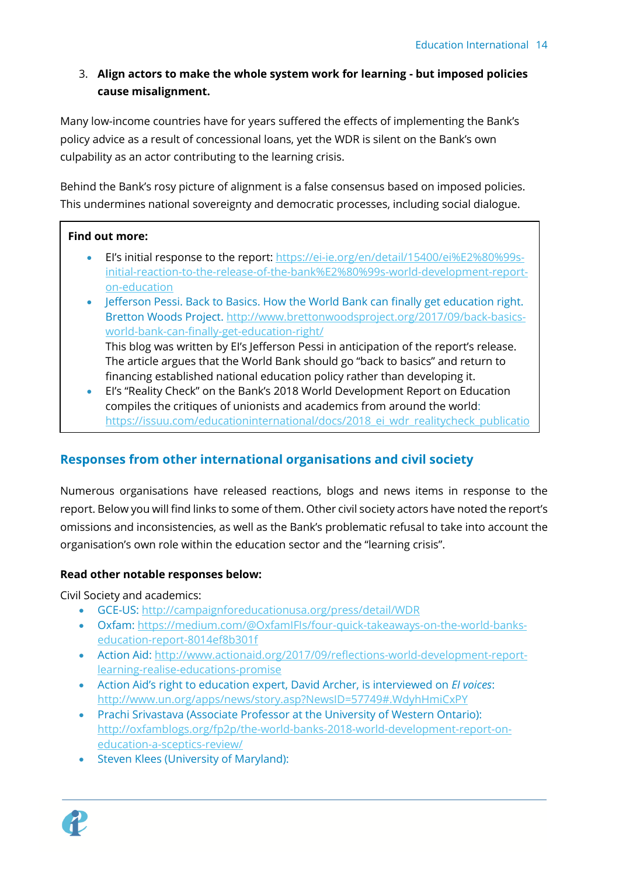## 3. **Align actors to make the whole system work for learning - but imposed policies cause misalignment.**

Many low-income countries have for years suffered the effects of implementing the Bank's policy advice as a result of concessional loans, yet the WDR is silent on the Bank's own culpability as an actor contributing to the learning crisis.

Behind the Bank's rosy picture of alignment is a false consensus based on imposed policies. This undermines national sovereignty and democratic processes, including social dialogue.

## **Find out more:**

[/13](https://issuu.com/educationinternational/docs/2018_ei_wdr_realitycheck_publicatio/13)

- EI's initial response to the report: [https://ei-ie.org/en/detail/15400/ei%E2%80%99s](https://ei-ie.org/en/detail/15400/ei%E2%80%99s-initial-reaction-to-the-release-of-the-bank%E2%80%99s-world-development-report-on-education)[initial-reaction-to-the-release-of-the-bank%E2%80%99s-world-development-report](https://ei-ie.org/en/detail/15400/ei%E2%80%99s-initial-reaction-to-the-release-of-the-bank%E2%80%99s-world-development-report-on-education)[on-education](https://ei-ie.org/en/detail/15400/ei%E2%80%99s-initial-reaction-to-the-release-of-the-bank%E2%80%99s-world-development-report-on-education)
- Jefferson Pessi. Back to Basics. How the World Bank can finally get education right. Bretton Woods Project[. http://www.brettonwoodsproject.org/2017/09/back-basics](http://www.brettonwoodsproject.org/2017/09/back-basics-world-bank-can-finally-get-education-right/)[world-bank-can-finally-get-education-right/](http://www.brettonwoodsproject.org/2017/09/back-basics-world-bank-can-finally-get-education-right/)

This blog was written by EI's Jefferson Pessi in anticipation of the report's release. The article argues that the World Bank should go "back to basics" and return to financing established national education policy rather than developing it.

• EI's "Reality Check" on the Bank's 2018 World Development Report on Education compiles the critiques of unionists and academics from around the world: [https://issuu.com/educationinternational/docs/2018\\_ei\\_wdr\\_realitycheck\\_publicatio](https://issuu.com/educationinternational/docs/2018_ei_wdr_realitycheck_publicatio/13)

## <span id="page-13-0"></span>**Responses from other international organisations and civil society**

Numerous organisations have released reactions, blogs and news items in response to the report. Below you will find links to some of them. Other civil society actors have noted the report's omissions and inconsistencies, as well as the Bank's problematic refusal to take into account the organisation's own role within the education sector and the "learning crisis".

## **Read other notable responses below:**

Civil Society and academics:

- GCE-US:<http://campaignforeducationusa.org/press/detail/WDR>
- Oxfam: [https://medium.com/@OxfamIFIs/four-quick-takeaways-on-the-world-banks](https://medium.com/@OxfamIFIs/four-quick-takeaways-on-the-world-banks-education-report-8014ef8b301f)[education-report-8014ef8b301f](https://medium.com/@OxfamIFIs/four-quick-takeaways-on-the-world-banks-education-report-8014ef8b301f)
- Action Aid: [http://www.actionaid.org/2017/09/reflections-world-development-report](http://www.actionaid.org/2017/09/reflections-world-development-report-learning-realise-educations-promise)[learning-realise-educations-promise](http://www.actionaid.org/2017/09/reflections-world-development-report-learning-realise-educations-promise)
- Action Aid's right to education expert, David Archer, is interviewed on *EI voices*: <http://www.un.org/apps/news/story.asp?NewsID=57749#.WdyhHmiCxPY>
- Prachi Srivastava (Associate Professor at the University of Western Ontario): [http://oxfamblogs.org/fp2p/the-world-banks-2018-world-development-report-on](http://oxfamblogs.org/fp2p/the-world-banks-2018-world-development-report-on-education-a-sceptics-review/)[education-a-sceptics-review/](http://oxfamblogs.org/fp2p/the-world-banks-2018-world-development-report-on-education-a-sceptics-review/)
- Steven Klees (University of Maryland):

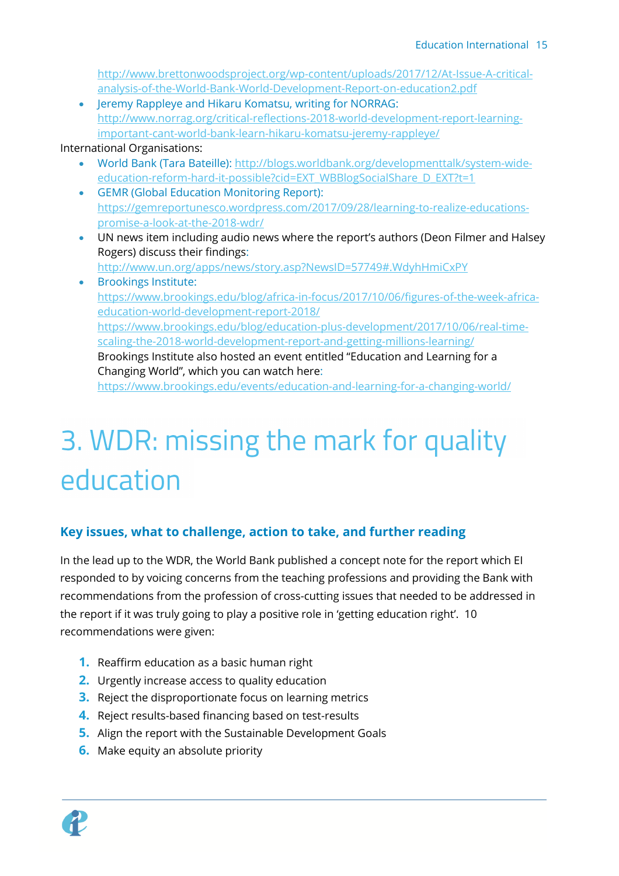```
http://www.brettonwoodsproject.org/wp-content/uploads/2017/12/At-Issue-A-critical-
analysis-of-the-World-Bank-World-Development-Report-on-education2.pdf
```
• Jeremy Rappleye and Hikaru Komatsu, writing for NORRAG: [http://www.norrag.org/critical-reflections-2018-world-development-report-learning](http://www.norrag.org/critical-reflections-2018-world-development-report-learning-important-cant-world-bank-learn-hikaru-komatsu-jeremy-rappleye/)[important-cant-world-bank-learn-hikaru-komatsu-jeremy-rappleye/](http://www.norrag.org/critical-reflections-2018-world-development-report-learning-important-cant-world-bank-learn-hikaru-komatsu-jeremy-rappleye/)

## International Organisations:

- World Bank (Tara Bateille)[: http://blogs.worldbank.org/developmenttalk/system-wide](http://blogs.worldbank.org/developmenttalk/system-wide-education-reform-hard-it-possible?cid=EXT_WBBlogSocialShare_D_EXT?t=1)[education-reform-hard-it-possible?cid=EXT\\_WBBlogSocialShare\\_D\\_EXT?t=1](http://blogs.worldbank.org/developmenttalk/system-wide-education-reform-hard-it-possible?cid=EXT_WBBlogSocialShare_D_EXT?t=1)
- GEMR (Global Education Monitoring Report): [https://gemreportunesco.wordpress.com/2017/09/28/learning-to-realize-educations](https://gemreportunesco.wordpress.com/2017/09/28/learning-to-realize-educations-promise-a-look-at-the-2018-wdr/)[promise-a-look-at-the-2018-wdr/](https://gemreportunesco.wordpress.com/2017/09/28/learning-to-realize-educations-promise-a-look-at-the-2018-wdr/)
- UN news item including audio news where the report's authors (Deon Filmer and Halsey Rogers) discuss their findings: <http://www.un.org/apps/news/story.asp?NewsID=57749#.WdyhHmiCxPY>
- Brookings Institute: [https://www.brookings.edu/blog/africa-in-focus/2017/10/06/figures-of-the-week-africa](https://www.brookings.edu/blog/africa-in-focus/2017/10/06/figures-of-the-week-africa-education-world-development-report-2018/)[education-world-development-report-2018/](https://www.brookings.edu/blog/africa-in-focus/2017/10/06/figures-of-the-week-africa-education-world-development-report-2018/) [https://www.brookings.edu/blog/education-plus-development/2017/10/06/real-time](https://www.brookings.edu/blog/education-plus-development/2017/10/06/real-time-scaling-the-2018-world-development-report-and-getting-millions-learning/)[scaling-the-2018-world-development-report-and-getting-millions-learning/](https://www.brookings.edu/blog/education-plus-development/2017/10/06/real-time-scaling-the-2018-world-development-report-and-getting-millions-learning/) Brookings Institute also hosted an event entitled "Education and Learning for a Changing World", which you can watch here:

<https://www.brookings.edu/events/education-and-learning-for-a-changing-world/>

## <span id="page-14-0"></span>3. WDR: missing the mark for quality education

## <span id="page-14-1"></span>**Key issues, what to challenge, action to take, and further reading**

In the lead up to the WDR, the World Bank published a concept note for the report which EI responded to by voicing concerns from the teaching professions and providing the Bank with recommendations from the profession of cross-cutting issues that needed to be addressed in the report if it was truly going to play a positive role in 'getting education right'. 10 recommendations were given:

- **1.** Reaffirm education as a basic human right
- **2.** Urgently increase access to quality education
- **3.** Reject the disproportionate focus on learning metrics
- **4.** Reject results-based financing based on test-results
- **5.** Align the report with the Sustainable Development Goals
- **6.** Make equity an absolute priority

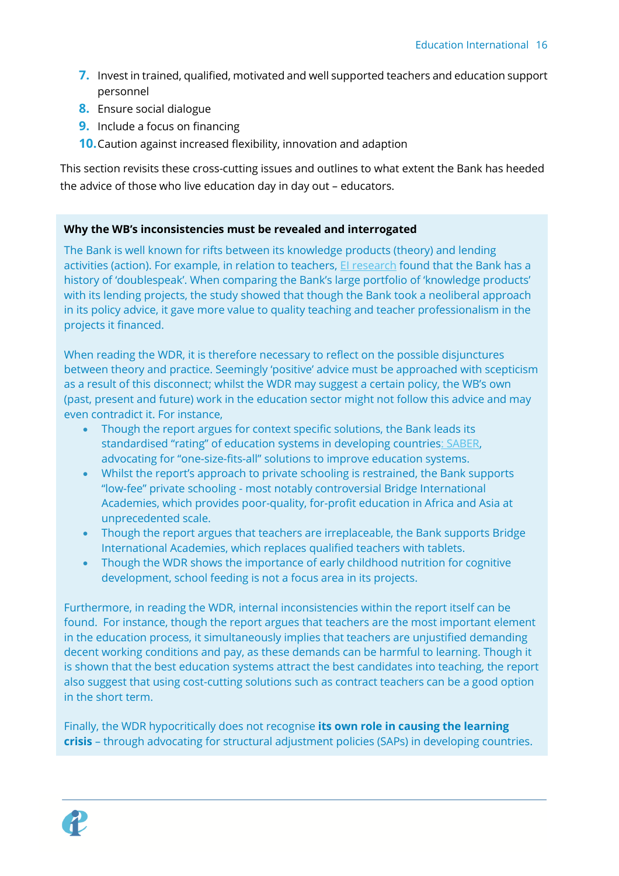- **7.** Invest in trained, qualified, motivated and well supported teachers and education support personnel
- **8.** Ensure social dialogue
- **9.** Include a focus on financing
- **10.**Caution against increased flexibility, innovation and adaption

This section revisits these cross-cutting issues and outlines to what extent the Bank has heeded the advice of those who live education day in day out – educators.

## **Why the WB's inconsistencies must be revealed and interrogated**

The Bank is well known for rifts between its knowledge products (theory) and lending activities (action). For example, in relation to teachers, *El research* found that the Bank has a history of 'doublespeak'. When comparing the Bank's large portfolio of 'knowledge products' with its lending projects, the study showed that though the Bank took a neoliberal approach in its policy advice, it gave more value to quality teaching and teacher professionalism in the projects it financed.

When reading the WDR, it is therefore necessary to reflect on the possible disjunctures between theory and practice. Seemingly 'positive' advice must be approached with scepticism as a result of this disconnect; whilst the WDR may suggest a certain policy, the WB's own (past, present and future) work in the education sector might not follow this advice and may even contradict it. For instance,

- Though the report argues for context specific solutions, the Bank leads its standardised "rating" of education systems in developing countries[: SABER,](http://saber.worldbank.org/index.cfm?indx=8&pd=12) advocating for "one-size-fits-all" solutions to improve education systems.
- Whilst the report's approach to private schooling is restrained, the Bank supports "low-fee" private schooling - most notably controversial Bridge International Academies, which provides poor-quality, for-profit education in Africa and Asia at unprecedented scale.
- Though the report argues that teachers are irreplaceable, the Bank supports Bridge International Academies, which replaces qualified teachers with tablets.
- Though the WDR shows the importance of early childhood nutrition for cognitive development, school feeding is not a focus area in its projects.

Furthermore, in reading the WDR, internal inconsistencies within the report itself can be found. For instance, though the report argues that teachers are the most important element in the education process, it simultaneously implies that teachers are unjustified demanding decent working conditions and pay, as these demands can be harmful to learning. Though it is shown that the best education systems attract the best candidates into teaching, the report also suggest that using cost-cutting solutions such as contract teachers can be a good option in the short term.

Finally, the WDR hypocritically does not recognise **its own role in causing the learning crisis** – through advocating for structural adjustment policies (SAPs) in developing countries.

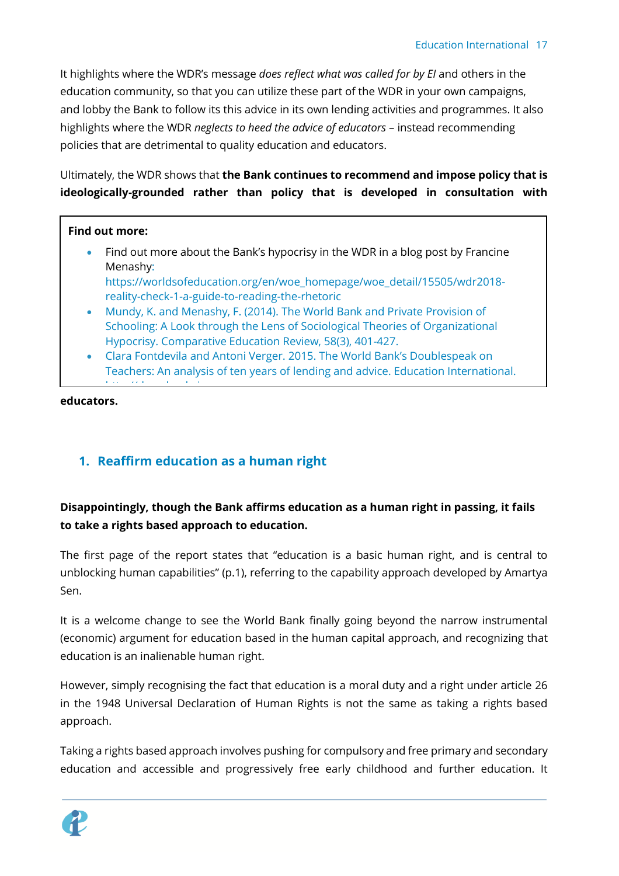It highlights where the WDR's message *does reflect what was called for by EI* and others in the education community, so that you can utilize these part of the WDR in your own campaigns, and lobby the Bank to follow its this advice in its own lending activities and programmes. It also highlights where the WDR *neglects to heed the advice of educators* – instead recommending policies that are detrimental to quality education and educators.

Ultimately, the WDR shows that **the Bank continues to recommend and impose policy that is ideologically-grounded rather than policy that is developed in consultation with** 

## **Find out more:**

• Find out more about the Bank's hypocrisy in the WDR in a blog post by Francine Menashy:

[https://worldsofeducation.org/en/woe\\_homepage/woe\\_detail/15505/wdr2018](https://worldsofeducation.org/en/woe_homepage/woe_detail/15505/wdr2018-reality-check-1-a-guide-to-reading-the-rhetoric) [reality-check-1-a-guide-to-reading-the-rhetoric](https://worldsofeducation.org/en/woe_homepage/woe_detail/15505/wdr2018-reality-check-1-a-guide-to-reading-the-rhetoric)

- Mundy, K. and Menashy, F. (2014). The World Bank and Private Provision of Schooling: A Look through the Lens of Sociological Theories of Organizational Hypocrisy. Comparative Education Review, 58(3), 401-427.
- Clara Fontdevila and Antoni Verger. 2015. The World Bank's Doublespeak on Teachers: An analysis of ten years of lending and advice. Education International.

**educators.**  ie.org/Docs/WebDepot/WebDepot/WebDepot/WebDepot/WebDepot/WebDepot/WebDepot/WebDepot/WebDepot/WebDepot/WebDepot

## <span id="page-16-0"></span>**1. Reaffirm education as a human right**

[http://download.ei-](http://download.ei-ie.org/Docs/WebDepot/World_Banks_Doublespeak_on_Teachers_Fontdevila_Verger_EI.pdf)

## **Disappointingly, though the Bank affirms education as a human right in passing, it fails to take a rights based approach to education.**

The first page of the report states that "education is a basic human right, and is central to unblocking human capabilities" (p.1), referring to the capability approach developed by Amartya Sen.

It is a welcome change to see the World Bank finally going beyond the narrow instrumental (economic) argument for education based in the human capital approach, and recognizing that education is an inalienable human right.

However, simply recognising the fact that education is a moral duty and a right under article 26 in the 1948 Universal Declaration of Human Rights is not the same as taking a rights based approach.

Taking a rights based approach involves pushing for compulsory and free primary and secondary education and accessible and progressively free early childhood and further education. It

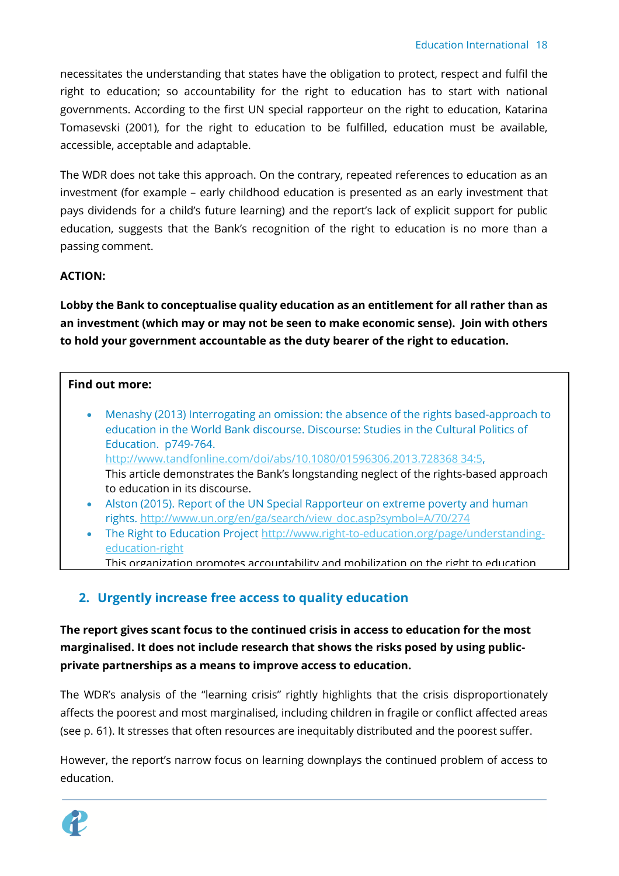necessitates the understanding that states have the obligation to protect, respect and fulfil the right to education; so accountability for the right to education has to start with national governments. According to the first UN special rapporteur on the right to education, Katarina Tomasevski (2001), for the right to education to be fulfilled, education must be available, accessible, acceptable and adaptable.

The WDR does not take this approach. On the contrary, repeated references to education as an investment (for example – early childhood education is presented as an early investment that pays dividends for a child's future learning) and the report's lack of explicit support for public education, suggests that the Bank's recognition of the right to education is no more than a passing comment.

## **ACTION:**

**Lobby the Bank to conceptualise quality education as an entitlement for all rather than as an investment (which may or may not be seen to make economic sense). Join with others to hold your government accountable as the duty bearer of the right to education.** 

#### **Find out more:**

- Menashy (2013) Interrogating an omission: the absence of the rights based-approach to education in the World Bank discourse. Discourse: Studies in the Cultural Politics of Education. p749-764. [http://www.tandfonline.com/doi/abs/10.1080/01596306.2013.728368 34:5,](http://www.tandfonline.com/doi/abs/10.1080/01596306.2013.728368%2034:5) This article demonstrates the Bank's longstanding neglect of the rights-based approach to education in its discourse.
- Alston (2015). Report of the UN Special Rapporteur on extreme poverty and human rights. [http://www.un.org/en/ga/search/view\\_doc.asp?symbol=A/70/274](http://www.un.org/en/ga/search/view_doc.asp?symbol=A/70/274)
- The Right to Education Project [http://www.right-to-education.org/page/understanding](http://www.right-to-education.org/page/understanding-education-right)[education-right](http://www.right-to-education.org/page/understanding-education-right)
- This organization promotes accountability and mobilization on the right to education

## <span id="page-17-0"></span>**2. Urgently increase free access to quality education**

**The report gives scant focus to the continued crisis in access to education for the most marginalised. It does not include research that shows the risks posed by using publicprivate partnerships as a means to improve access to education.** 

The WDR's analysis of the "learning crisis" rightly highlights that the crisis disproportionately affects the poorest and most marginalised, including children in fragile or conflict affected areas (see p. 61). It stresses that often resources are inequitably distributed and the poorest suffer.

However, the report's narrow focus on learning downplays the continued problem of access to education.

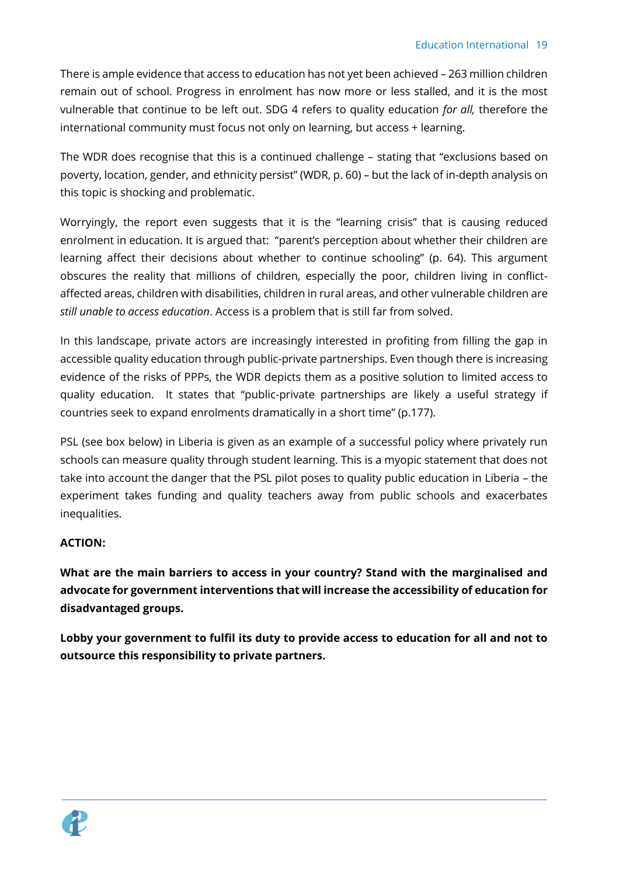There is ample evidence that access to education has not yet been achieved – 263 million children remain out of school. Progress in enrolment has now more or less stalled, and it is the most vulnerable that continue to be left out. SDG 4 refers to quality education *for all,* therefore the international community must focus not only on learning, but access + learning.

The WDR does recognise that this is a continued challenge – stating that "exclusions based on poverty, location, gender, and ethnicity persist" (WDR, p. 60) *–* but the lack of in-depth analysis on this topic is shocking and problematic.

Worryingly, the report even suggests that it is the "learning crisis" that is causing reduced enrolment in education. It is argued that: "parent's perception about whether their children are learning affect their decisions about whether to continue schooling" (p. 64). This argument obscures the reality that millions of children, especially the poor, children living in conflictaffected areas, children with disabilities, children in rural areas, and other vulnerable children are *still unable to access education*. Access is a problem that is still far from solved.

In this landscape, private actors are increasingly interested in profiting from filling the gap in accessible quality education through public-private partnerships. Even though there is increasing evidence of the risks of PPPs, the WDR depicts them as a positive solution to limited access to quality education. It states that "public-private partnerships are likely a useful strategy if countries seek to expand enrolments dramatically in a short time" (p.177).

PSL (see box below) in Liberia is given as an example of a successful policy where privately run schools can measure quality through student learning. This is a myopic statement that does not take into account the danger that the PSL pilot poses to quality public education in Liberia – the experiment takes funding and quality teachers away from public schools and exacerbates inequalities.

## **ACTION:**

**What are the main barriers to access in your country? Stand with the marginalised and advocate for government interventions that will increase the accessibility of education for disadvantaged groups.** 

**Lobby your government to fulfil its duty to provide access to education for all and not to outsource this responsibility to private partners.** 

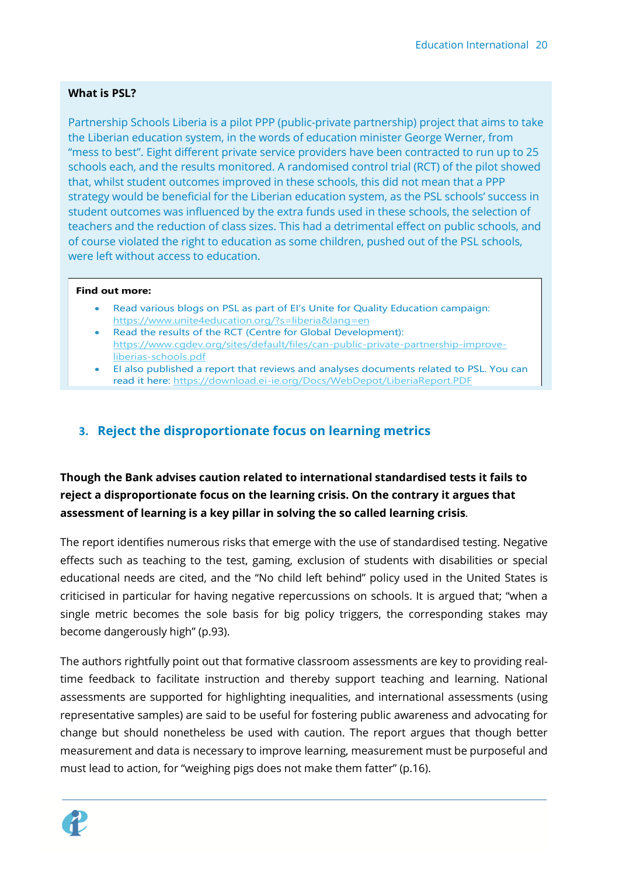## **What is PSL?**

Partnership Schools Liberia is a pilot PPP (public-private partnership) project that aims to take the Liberian education system, in the words of education minister George Werner, from "mess to best". Eight different private service providers have been contracted to run up to 25 schools each, and the results monitored. A randomised control trial (RCT) of the pilot showed that, whilst student outcomes improved in these schools, this did not mean that a PPP strategy would be beneficial for the Liberian education system, as the PSL schools' success in student outcomes was influenced by the extra funds used in these schools, the selection of teachers and the reduction of class sizes. This had a detrimental effect on public schools, and of course violated the right to education as some children, pushed out of the PSL schools, were left without access to education.

#### **Find out more:**

- Read various blogs on PSL as part of EI's Unite for Quality Education campaign: https://www.unite4education.org/?s=liberia&lang=en
- Read the results of the RCT (Centre for Global Development): https://www.cgdev.org/sites/default/files/can-public-private-partnership-improveliberias-schools.pdf
- EI also published a report that reviews and analyses documents related to PSL. You can read it here: https://download.ei-ie.org/Docs/WebDepot/LiberiaReport.PDF

## <span id="page-19-0"></span>**3. Reject the disproportionate focus on learning metrics**

**Though the Bank advises caution related to international standardised tests it fails to reject a disproportionate focus on the learning crisis. On the contrary it argues that assessment of learning is a key pillar in solving the so called learning crisis***.*

The report identifies numerous risks that emerge with the use of standardised testing. Negative effects such as teaching to the test, gaming, exclusion of students with disabilities or special educational needs are cited, and the "No child left behind" policy used in the United States is criticised in particular for having negative repercussions on schools. It is argued that; "when a single metric becomes the sole basis for big policy triggers, the corresponding stakes may become dangerously high" (p.93).

The authors rightfully point out that formative classroom assessments are key to providing realtime feedback to facilitate instruction and thereby support teaching and learning. National assessments are supported for highlighting inequalities, and international assessments (using representative samples) are said to be useful for fostering public awareness and advocating for change but should nonetheless be used with caution. The report argues that though better measurement and data is necessary to improve learning, measurement must be purposeful and must lead to action, for "weighing pigs does not make them fatter" (p.16).

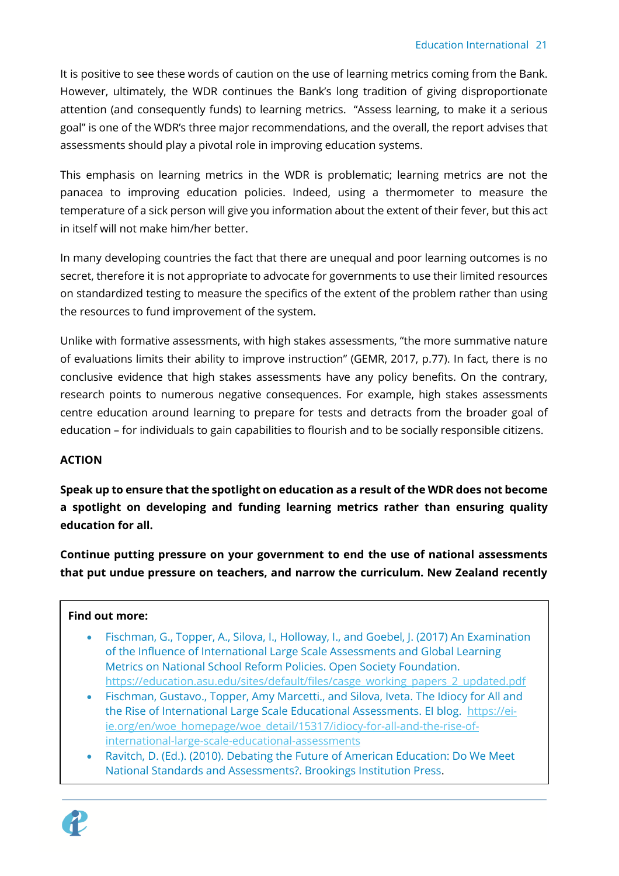It is positive to see these words of caution on the use of learning metrics coming from the Bank. However, ultimately, the WDR continues the Bank's long tradition of giving disproportionate attention (and consequently funds) to learning metrics. "Assess learning, to make it a serious goal" is one of the WDR's three major recommendations, and the overall, the report advises that assessments should play a pivotal role in improving education systems.

This emphasis on learning metrics in the WDR is problematic; learning metrics are not the panacea to improving education policies. Indeed, using a thermometer to measure the temperature of a sick person will give you information about the extent of their fever, but this act in itself will not make him/her better.

In many developing countries the fact that there are unequal and poor learning outcomes is no secret, therefore it is not appropriate to advocate for governments to use their limited resources on standardized testing to measure the specifics of the extent of the problem rather than using the resources to fund improvement of the system.

Unlike with formative assessments, with high stakes assessments, "the more summative nature of evaluations limits their ability to improve instruction" (GEMR, 2017, p.77). In fact, there is no conclusive evidence that high stakes assessments have any policy benefits. On the contrary, research points to numerous negative consequences. For example, high stakes assessments centre education around learning to prepare for tests and detracts from the broader goal of education – for individuals to gain capabilities to flourish and to be socially responsible citizens.

## **ACTION**

**Speak up to ensure that the spotlight on education as a result of the WDR does not become a spotlight on developing and funding learning metrics rather than ensuring quality education for all.**

**Continue putting pressure on your government to end the use of national assessments that put undue pressure on teachers, and narrow the curriculum. New Zealand recently** 

## **Find out more:**

- Fischman, G., Topper, A., Silova, I., Holloway, I., and Goebel, J. (2017) An Examination of the Influence of International Large Scale Assessments and Global Learning Metrics on National School Reform Policies. Open Society Foundation. [https://education.asu.edu/sites/default/files/casge\\_working\\_papers\\_2\\_updated.pdf](https://education.asu.edu/sites/default/files/casge_working_papers_2_updated.pdf)
- Fischman, Gustavo., Topper, Amy Marcetti., and Silova, Iveta. The Idiocy for All and the Rise of International Large Scale Educational Assessments. EI blog. [https://ei](https://ei-ie.org/en/woe_homepage/woe_detail/15317/idiocy-for-all-and-the-rise-of-international-large-scale-educational-assessments)[ie.org/en/woe\\_homepage/woe\\_detail/15317/idiocy-for-all-and-the-rise-of](https://ei-ie.org/en/woe_homepage/woe_detail/15317/idiocy-for-all-and-the-rise-of-international-large-scale-educational-assessments)[international-large-scale-educational-assessments](https://ei-ie.org/en/woe_homepage/woe_detail/15317/idiocy-for-all-and-the-rise-of-international-large-scale-educational-assessments)
- Ravitch, D. (Ed.). (2010). Debating the Future of American Education: Do We Meet National Standards and Assessments?. Brookings Institution Press.

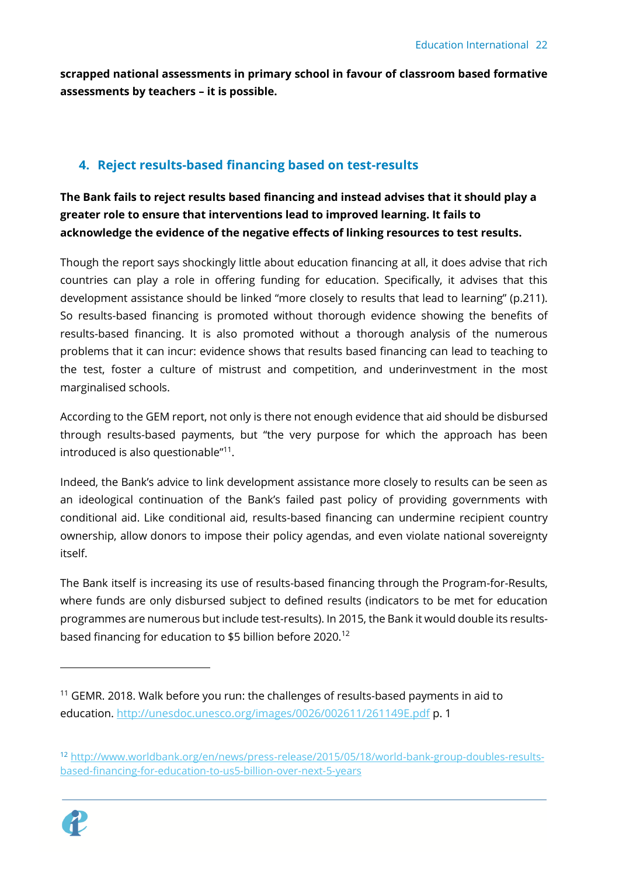**scrapped national assessments in primary school in favour of classroom based formative assessments by teachers – it is possible.** 

## <span id="page-21-0"></span>**4. Reject results-based financing based on test-results**

**The Bank fails to reject results based financing and instead advises that it should play a greater role to ensure that interventions lead to improved learning. It fails to acknowledge the evidence of the negative effects of linking resources to test results.** 

Though the report says shockingly little about education financing at all, it does advise that rich countries can play a role in offering funding for education. Specifically, it advises that this development assistance should be linked "more closely to results that lead to learning" (p.211). So results-based financing is promoted without thorough evidence showing the benefits of results-based financing. It is also promoted without a thorough analysis of the numerous problems that it can incur: evidence shows that results based financing can lead to teaching to the test, foster a culture of mistrust and competition, and underinvestment in the most marginalised schools.

According to the GEM report, not only is there not enough evidence that aid should be disbursed through results-based payments, but "the very purpose for which the approach has been introduced is also questionable"<sup>11</sup> .

Indeed, the Bank's advice to link development assistance more closely to results can be seen as an ideological continuation of the Bank's failed past policy of providing governments with conditional aid. Like conditional aid, results-based financing can undermine recipient country ownership, allow donors to impose their policy agendas, and even violate national sovereignty itself.

The Bank itself is increasing its use of results-based financing through the Program-for-Results, where funds are only disbursed subject to defined results (indicators to be met for education programmes are numerous but include test-results). In 2015, the Bank it would double its resultsbased financing for education to \$5 billion before 2020.<sup>12</sup>

<sup>12</sup> [http://www.worldbank.org/en/news/press-release/2015/05/18/world-bank-group-doubles-results](http://www.worldbank.org/en/news/press-release/2015/05/18/world-bank-group-doubles-results-based-financing-for-education-to-us5-billion-over-next-5-years)[based-financing-for-education-to-us5-billion-over-next-5-years](http://www.worldbank.org/en/news/press-release/2015/05/18/world-bank-group-doubles-results-based-financing-for-education-to-us5-billion-over-next-5-years)



 $11$  GEMR. 2018. Walk before you run: the challenges of results-based payments in aid to education.<http://unesdoc.unesco.org/images/0026/002611/261149E.pdf> p. 1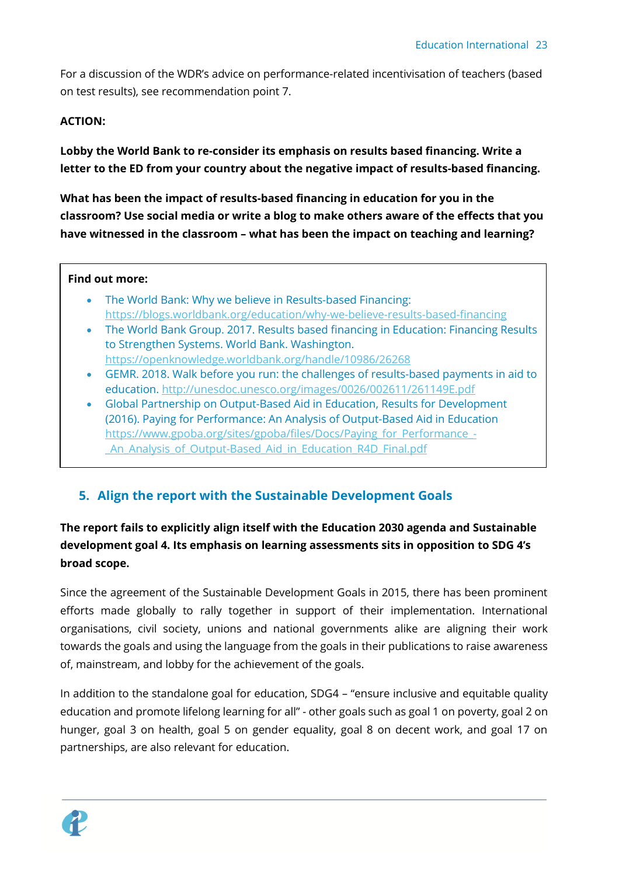For a discussion of the WDR's advice on performance-related incentivisation of teachers (based on test results), see recommendation point 7.

### **ACTION:**

**Lobby the World Bank to re-consider its emphasis on results based financing. Write a letter to the ED from your country about the negative impact of results-based financing.** 

**What has been the impact of results-based financing in education for you in the classroom? Use social media or write a blog to make others aware of the effects that you have witnessed in the classroom – what has been the impact on teaching and learning?** 

#### **Find out more:**

- The World Bank: Why we believe in Results-based Financing: <https://blogs.worldbank.org/education/why-we-believe-results-based-financing>
- The World Bank Group. 2017. Results based financing in Education: Financing Results to Strengthen Systems. World Bank. Washington. <https://openknowledge.worldbank.org/handle/10986/26268>
- GEMR. 2018. Walk before you run: the challenges of results-based payments in aid to education.<http://unesdoc.unesco.org/images/0026/002611/261149E.pdf>
- Global Partnership on Output-Based Aid in Education, Results for Development (2016). Paying for Performance: An Analysis of Output-Based Aid in Education [https://www.gpoba.org/sites/gpoba/files/Docs/Paying\\_for\\_Performance\\_-](https://www.gpoba.org/sites/gpoba/files/Docs/Paying_for_Performance_-_An_Analysis_of_Output-Based_Aid_in_Education_R4D_Final.pdf) An Analysis of Output-Based Aid in Education R4D Final.pdf

## <span id="page-22-0"></span>**5. Align the report with the Sustainable Development Goals**

## **The report fails to explicitly align itself with the Education 2030 agenda and Sustainable development goal 4. Its emphasis on learning assessments sits in opposition to SDG 4's broad scope.**

Since the agreement of the Sustainable Development Goals in 2015, there has been prominent efforts made globally to rally together in support of their implementation. International organisations, civil society, unions and national governments alike are aligning their work towards the goals and using the language from the goals in their publications to raise awareness of, mainstream, and lobby for the achievement of the goals.

In addition to the standalone goal for education, SDG4 – "ensure inclusive and equitable quality education and promote lifelong learning for all" - other goals such as goal 1 on poverty, goal 2 on hunger, goal 3 on health, goal 5 on gender equality, goal 8 on decent work, and goal 17 on partnerships, are also relevant for education.

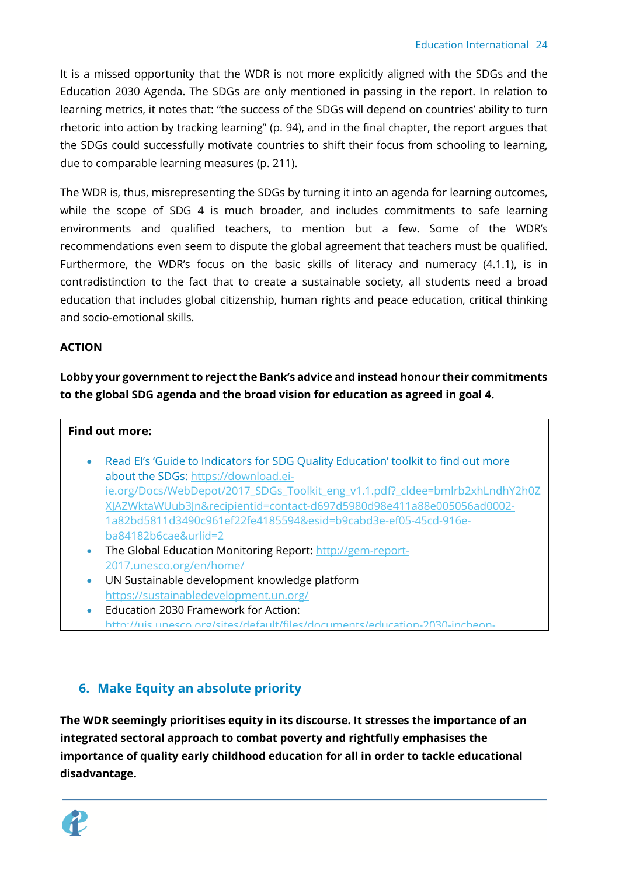It is a missed opportunity that the WDR is not more explicitly aligned with the SDGs and the Education 2030 Agenda. The SDGs are only mentioned in passing in the report. In relation to learning metrics, it notes that: "the success of the SDGs will depend on countries' ability to turn rhetoric into action by tracking learning" (p. 94), and in the final chapter, the report argues that the SDGs could successfully motivate countries to shift their focus from schooling to learning, due to comparable learning measures (p. 211).

The WDR is, thus, misrepresenting the SDGs by turning it into an agenda for learning outcomes, while the scope of SDG 4 is much broader, and includes commitments to safe learning environments and qualified teachers, to mention but a few. Some of the WDR's recommendations even seem to dispute the global agreement that teachers must be qualified. Furthermore, the WDR's focus on the basic skills of literacy and numeracy (4.1.1), is in contradistinction to the fact that to create a sustainable society, all students need a broad education that includes global citizenship, human rights and peace education, critical thinking and socio-emotional skills.

## **ACTION**

**Lobby your government to reject the Bank's advice and instead honour their commitments to the global SDG agenda and the broad vision for education as agreed in goal 4.** 

## **Find out more:**

- Read EI's 'Guide to Indicators for SDG Quality Education' toolkit to find out more about the SDGs: [https://download.ei](https://download.ei-ie.org/Docs/WebDepot/2017_SDGs_Toolkit_eng_v1.1.pdf?_cldee=bmlrb2xhLndhY2h0ZXJAZWktaWUub3Jn&recipientid=contact-d697d5980d98e411a88e005056ad0002-1a82bd5811d3490c961ef22fe4185594&esid=b9cabd3e-ef05-45cd-916e-ba84182b6cae&urlid=2)[ie.org/Docs/WebDepot/2017\\_SDGs\\_Toolkit\\_eng\\_v1.1.pdf?\\_cldee=bmlrb2xhLndhY2h0Z](https://download.ei-ie.org/Docs/WebDepot/2017_SDGs_Toolkit_eng_v1.1.pdf?_cldee=bmlrb2xhLndhY2h0ZXJAZWktaWUub3Jn&recipientid=contact-d697d5980d98e411a88e005056ad0002-1a82bd5811d3490c961ef22fe4185594&esid=b9cabd3e-ef05-45cd-916e-ba84182b6cae&urlid=2) [XJAZWktaWUub3Jn&recipientid=contact-d697d5980d98e411a88e005056ad0002-](https://download.ei-ie.org/Docs/WebDepot/2017_SDGs_Toolkit_eng_v1.1.pdf?_cldee=bmlrb2xhLndhY2h0ZXJAZWktaWUub3Jn&recipientid=contact-d697d5980d98e411a88e005056ad0002-1a82bd5811d3490c961ef22fe4185594&esid=b9cabd3e-ef05-45cd-916e-ba84182b6cae&urlid=2) [1a82bd5811d3490c961ef22fe4185594&esid=b9cabd3e-ef05-45cd-916e](https://download.ei-ie.org/Docs/WebDepot/2017_SDGs_Toolkit_eng_v1.1.pdf?_cldee=bmlrb2xhLndhY2h0ZXJAZWktaWUub3Jn&recipientid=contact-d697d5980d98e411a88e005056ad0002-1a82bd5811d3490c961ef22fe4185594&esid=b9cabd3e-ef05-45cd-916e-ba84182b6cae&urlid=2)[ba84182b6cae&urlid=2](https://download.ei-ie.org/Docs/WebDepot/2017_SDGs_Toolkit_eng_v1.1.pdf?_cldee=bmlrb2xhLndhY2h0ZXJAZWktaWUub3Jn&recipientid=contact-d697d5980d98e411a88e005056ad0002-1a82bd5811d3490c961ef22fe4185594&esid=b9cabd3e-ef05-45cd-916e-ba84182b6cae&urlid=2)
- The Global Education Monitoring Report: [http://gem-report-](http://gem-report-2017.unesco.org/en/home/)[2017.unesco.org/en/home/](http://gem-report-2017.unesco.org/en/home/)
- UN Sustainable development knowledge platform <https://sustainabledevelopment.un.org/>
- Education 2030 Framework for Action: [http://uis.unesco.org/sites/default/files/documents/education-2030-incheon-](http://uis.unesco.org/sites/default/files/documents/education-2030-incheon-framework-for-action-implementation-of-sdg4-2016-en_2.pdf)

## <span id="page-23-0"></span>**6. Make Equity an absolute priority**

**The WDR seemingly prioritises equity in its discourse. It stresses the importance of an integrated sectoral approach to combat poverty and rightfully emphasises the importance of quality early childhood education for all in order to tackle educational disadvantage.** 

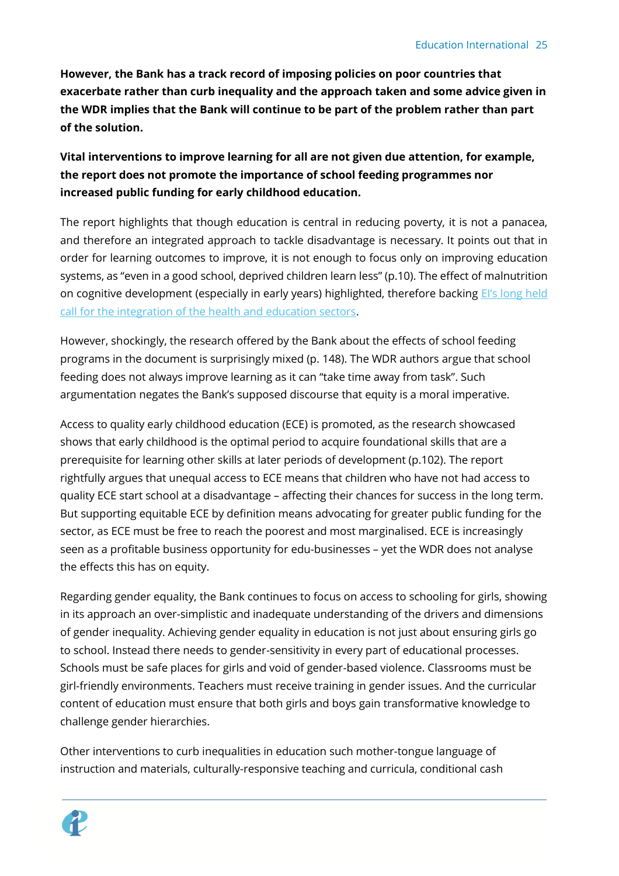**However, the Bank has a track record of imposing policies on poor countries that exacerbate rather than curb inequality and the approach taken and some advice given in the WDR implies that the Bank will continue to be part of the problem rather than part of the solution.** 

**Vital interventions to improve learning for all are not given due attention, for example, the report does not promote the importance of school feeding programmes nor increased public funding for early childhood education.** 

The report highlights that though education is central in reducing poverty, it is not a panacea, and therefore an integrated approach to tackle disadvantage is necessary. It points out that in order for learning outcomes to improve, it is not enough to focus only on improving education systems, as "even in a good school, deprived children learn less" (p.10). The effect of malnutrition on cognitive development (especially in early years) highlighted, therefore backing EI's long held [call for the integration of the health and education sectors.](http://www.ascd.org/ASCD/pdf/siteASCD/policy/ASCD-EI-Quality-Education-Statement.pdf)

However, shockingly, the research offered by the Bank about the effects of school feeding programs in the document is surprisingly mixed (p. 148). The WDR authors argue that school feeding does not always improve learning as it can "take time away from task". Such argumentation negates the Bank's supposed discourse that equity is a moral imperative.

Access to quality early childhood education (ECE) is promoted, as the research showcased shows that early childhood is the optimal period to acquire foundational skills that are a prerequisite for learning other skills at later periods of development (p.102). The report rightfully argues that unequal access to ECE means that children who have not had access to quality ECE start school at a disadvantage – affecting their chances for success in the long term. But supporting equitable ECE by definition means advocating for greater public funding for the sector, as ECE must be free to reach the poorest and most marginalised. ECE is increasingly seen as a profitable business opportunity for edu-businesses – yet the WDR does not analyse the effects this has on equity.

Regarding gender equality, the Bank continues to focus on access to schooling for girls, showing in its approach an over-simplistic and inadequate understanding of the drivers and dimensions of gender inequality. Achieving gender equality in education is not just about ensuring girls go to school. Instead there needs to gender-sensitivity in every part of educational processes. Schools must be safe places for girls and void of gender-based violence. Classrooms must be girl-friendly environments. Teachers must receive training in gender issues. And the curricular content of education must ensure that both girls and boys gain transformative knowledge to challenge gender hierarchies.

Other interventions to curb inequalities in education such mother-tongue language of instruction and materials, culturally-responsive teaching and curricula, conditional cash

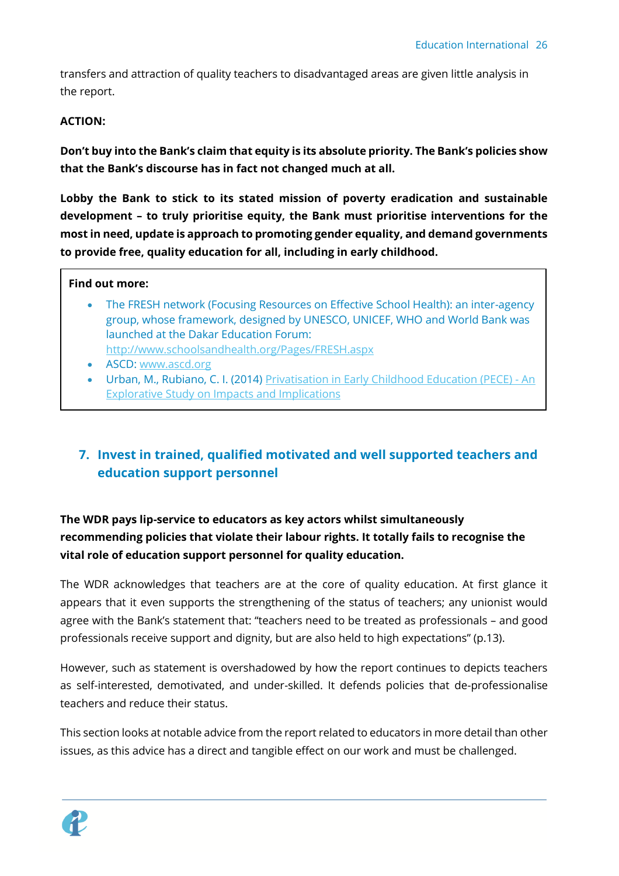transfers and attraction of quality teachers to disadvantaged areas are given little analysis in the report.

### **ACTION:**

**Don't buy into the Bank's claim that equity is its absolute priority. The Bank's policies show that the Bank's discourse has in fact not changed much at all.** 

**Lobby the Bank to stick to its stated mission of poverty eradication and sustainable development – to truly prioritise equity, the Bank must prioritise interventions for the most in need, update is approach to promoting gender equality, and demand governments to provide free, quality education for all, including in early childhood.** 

#### **Find out more:**

- The FRESH network (Focusing Resources on Effective School Health): an inter-agency group, whose framework, designed by UNESCO, UNICEF, WHO and World Bank was launched at the Dakar Education Forum: <http://www.schoolsandhealth.org/Pages/FRESH.aspx>
- ASCD: [www.ascd.org](http://www.ascd.org/)
- Urban, M., Rubiano, C. I. (2014) [Privatisation in Early Childhood Education \(PECE\) -](http://download.ei-ie.org/Docs/WebDepot/EI2015_PrivationECE_EN_final.pdf) An [Explorative Study on Impacts and Implications](http://download.ei-ie.org/Docs/WebDepot/EI2015_PrivationECE_EN_final.pdf)

## <span id="page-25-0"></span>**7. Invest in trained, qualified motivated and well supported teachers and education support personnel**

## **The WDR pays lip-service to educators as key actors whilst simultaneously recommending policies that violate their labour rights. It totally fails to recognise the vital role of education support personnel for quality education.**

The WDR acknowledges that teachers are at the core of quality education. At first glance it appears that it even supports the strengthening of the status of teachers; any unionist would agree with the Bank's statement that: "teachers need to be treated as professionals – and good professionals receive support and dignity, but are also held to high expectations" (p.13).

However, such as statement is overshadowed by how the report continues to depicts teachers as self-interested, demotivated, and under-skilled. It defends policies that de-professionalise teachers and reduce their status.

This section looks at notable advice from the report related to educators in more detail than other issues, as this advice has a direct and tangible effect on our work and must be challenged.

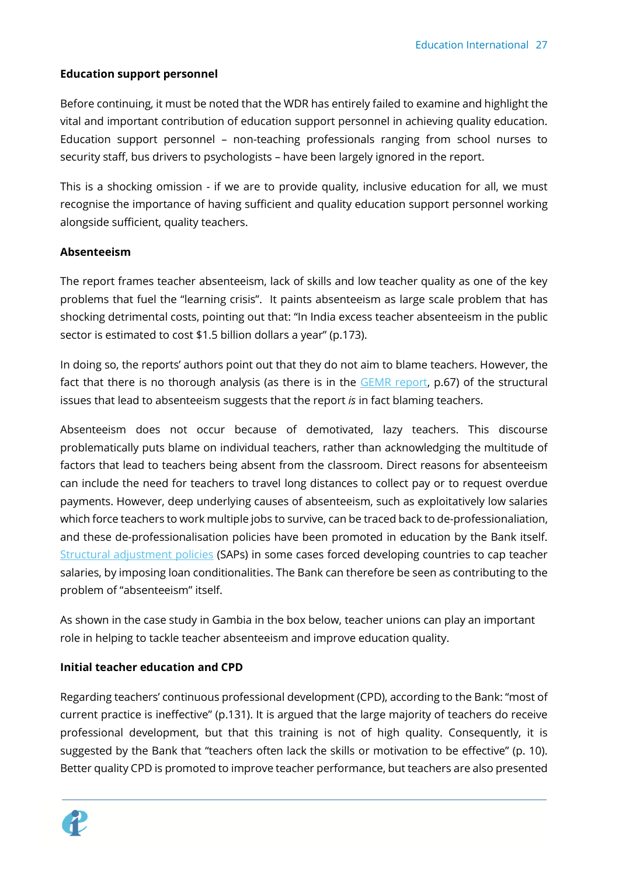## **Education support personnel**

Before continuing, it must be noted that the WDR has entirely failed to examine and highlight the vital and important contribution of education support personnel in achieving quality education. Education support personnel – non-teaching professionals ranging from school nurses to security staff, bus drivers to psychologists – have been largely ignored in the report.

This is a shocking omission - if we are to provide quality, inclusive education for all, we must recognise the importance of having sufficient and quality education support personnel working alongside sufficient, quality teachers.

## **Absenteeism**

The report frames teacher absenteeism, lack of skills and low teacher quality as one of the key problems that fuel the "learning crisis". It paints absenteeism as large scale problem that has shocking detrimental costs, pointing out that: "In India excess teacher absenteeism in the public sector is estimated to cost \$1.5 billion dollars a year" (p.173).

In doing so, the reports' authors point out that they do not aim to blame teachers. However, the fact that there is no thorough analysis (as there is in the [GEMR report,](http://gem-report-2017.unesco.org/en/home/) p.67) of the structural issues that lead to absenteeism suggests that the report *is* in fact blaming teachers.

Absenteeism does not occur because of demotivated, lazy teachers. This discourse problematically puts blame on individual teachers, rather than acknowledging the multitude of factors that lead to teachers being absent from the classroom. Direct reasons for absenteeism can include the need for teachers to travel long distances to collect pay or to request overdue payments. However, deep underlying causes of absenteeism, such as exploitatively low salaries which force teachers to work multiple jobs to survive, can be traced back to de-professionaliation, and these de-professionalisation policies have been promoted in education by the Bank itself. [Structural adjustment policies](http://www.globalissues.org/article/3/structural-adjustment-a-major-cause-of-poverty) (SAPs) in some cases forced developing countries to cap teacher salaries, by imposing loan conditionalities. The Bank can therefore be seen as contributing to the problem of "absenteeism" itself.

As shown in the case study in Gambia in the box below, teacher unions can play an important role in helping to tackle teacher absenteeism and improve education quality.

## **Initial teacher education and CPD**

Regarding teachers' continuous professional development (CPD), according to the Bank: "most of current practice is ineffective" (p.131). It is argued that the large majority of teachers do receive professional development, but that this training is not of high quality. Consequently, it is suggested by the Bank that "teachers often lack the skills or motivation to be effective" (p. 10). Better quality CPD is promoted to improve teacher performance, but teachers are also presented

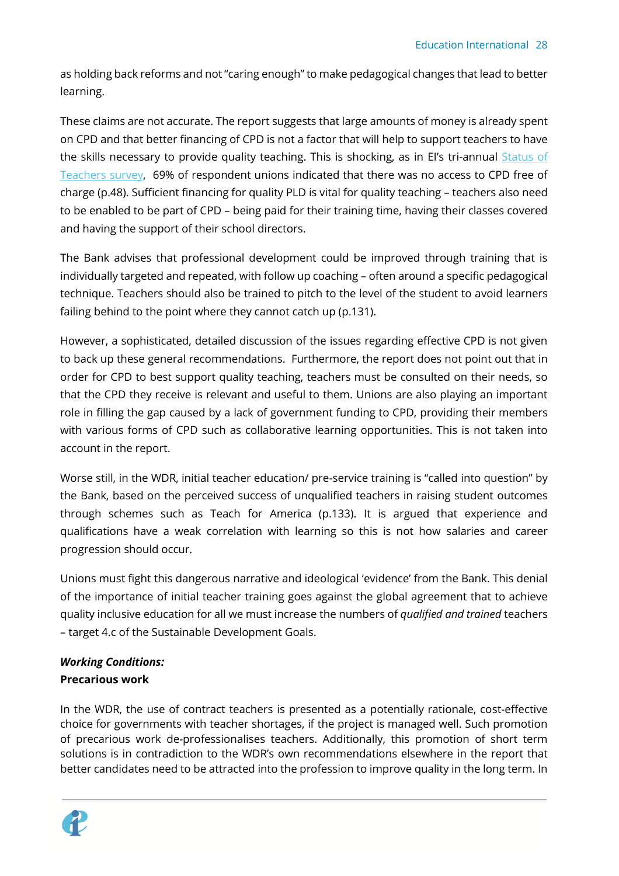as holding back reforms and not "caring enough" to make pedagogical changes that lead to better learning.

These claims are not accurate. The report suggests that large amounts of money is already spent on CPD and that better financing of CPD is not a factor that will help to support teachers to have the skills necessary to provide quality teaching. This is shocking, as in EI's tri-annual Status of [Teachers survey,](https://download.ei-ie.org/Docs/WebDepot/The%20Status%20of%20Teachers%20and%20the%20Teaching%20Profession.pdf) 69% of respondent unions indicated that there was no access to CPD free of charge (p.48). Sufficient financing for quality PLD is vital for quality teaching – teachers also need to be enabled to be part of CPD – being paid for their training time, having their classes covered and having the support of their school directors.

The Bank advises that professional development could be improved through training that is individually targeted and repeated, with follow up coaching – often around a specific pedagogical technique. Teachers should also be trained to pitch to the level of the student to avoid learners failing behind to the point where they cannot catch up (p.131).

However, a sophisticated, detailed discussion of the issues regarding effective CPD is not given to back up these general recommendations. Furthermore, the report does not point out that in order for CPD to best support quality teaching, teachers must be consulted on their needs, so that the CPD they receive is relevant and useful to them. Unions are also playing an important role in filling the gap caused by a lack of government funding to CPD, providing their members with various forms of CPD such as collaborative learning opportunities. This is not taken into account in the report.

Worse still, in the WDR, initial teacher education/ pre-service training is "called into question" by the Bank, based on the perceived success of unqualified teachers in raising student outcomes through schemes such as Teach for America (p.133). It is argued that experience and qualifications have a weak correlation with learning so this is not how salaries and career progression should occur.

Unions must fight this dangerous narrative and ideological 'evidence' from the Bank. This denial of the importance of initial teacher training goes against the global agreement that to achieve quality inclusive education for all we must increase the numbers of *qualified and trained* teachers – target 4.c of the Sustainable Development Goals.

## <span id="page-27-0"></span>*Working Conditions:* **Precarious work**

In the WDR, the use of contract teachers is presented as a potentially rationale, cost-effective choice for governments with teacher shortages, if the project is managed well. Such promotion of precarious work de-professionalises teachers. Additionally, this promotion of short term solutions is in contradiction to the WDR's own recommendations elsewhere in the report that better candidates need to be attracted into the profession to improve quality in the long term. In

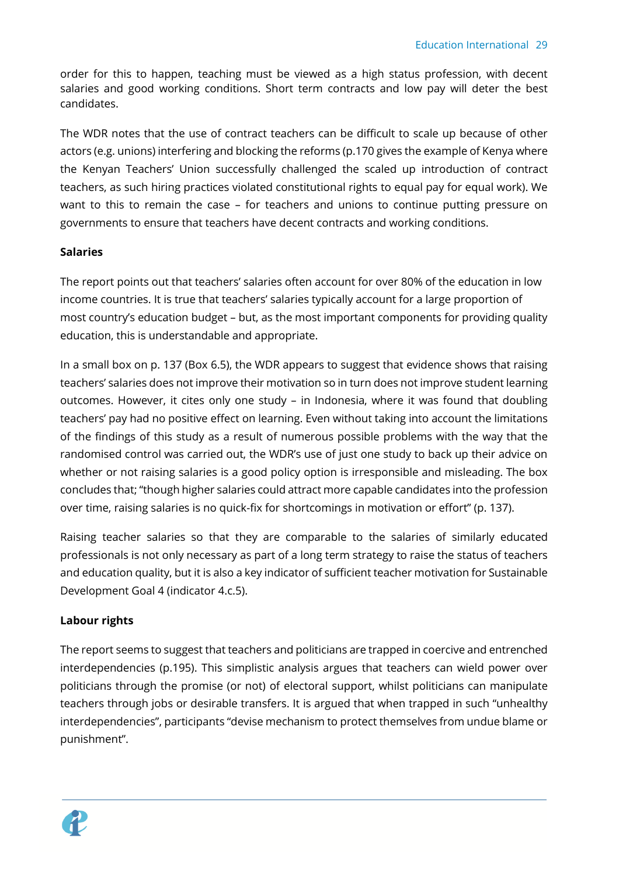order for this to happen, teaching must be viewed as a high status profession, with decent salaries and good working conditions. Short term contracts and low pay will deter the best candidates.

The WDR notes that the use of contract teachers can be difficult to scale up because of other actors (e.g. unions) interfering and blocking the reforms (p.170 gives the example of Kenya where the Kenyan Teachers' Union successfully challenged the scaled up introduction of contract teachers, as such hiring practices violated constitutional rights to equal pay for equal work). We want to this to remain the case – for teachers and unions to continue putting pressure on governments to ensure that teachers have decent contracts and working conditions.

## **Salaries**

The report points out that teachers' salaries often account for over 80% of the education in low income countries. It is true that teachers' salaries typically account for a large proportion of most country's education budget – but, as the most important components for providing quality education, this is understandable and appropriate.

In a small box on p. 137 (Box 6.5), the WDR appears to suggest that evidence shows that raising teachers' salaries does not improve their motivation so in turn does not improve student learning outcomes. However, it cites only one study – in Indonesia, where it was found that doubling teachers' pay had no positive effect on learning. Even without taking into account the limitations of the findings of this study as a result of numerous possible problems with the way that the randomised control was carried out, the WDR's use of just one study to back up their advice on whether or not raising salaries is a good policy option is irresponsible and misleading. The box concludes that; "though higher salaries could attract more capable candidates into the profession over time, raising salaries is no quick-fix for shortcomings in motivation or effort" (p. 137).

Raising teacher salaries so that they are comparable to the salaries of similarly educated professionals is not only necessary as part of a long term strategy to raise the status of teachers and education quality, but it is also a key indicator of sufficient teacher motivation for Sustainable Development Goal 4 (indicator 4.c.5).

## **Labour rights**

The report seems to suggest that teachers and politicians are trapped in coercive and entrenched interdependencies (p.195). This simplistic analysis argues that teachers can wield power over politicians through the promise (or not) of electoral support, whilst politicians can manipulate teachers through jobs or desirable transfers. It is argued that when trapped in such "unhealthy interdependencies", participants "devise mechanism to protect themselves from undue blame or punishment".

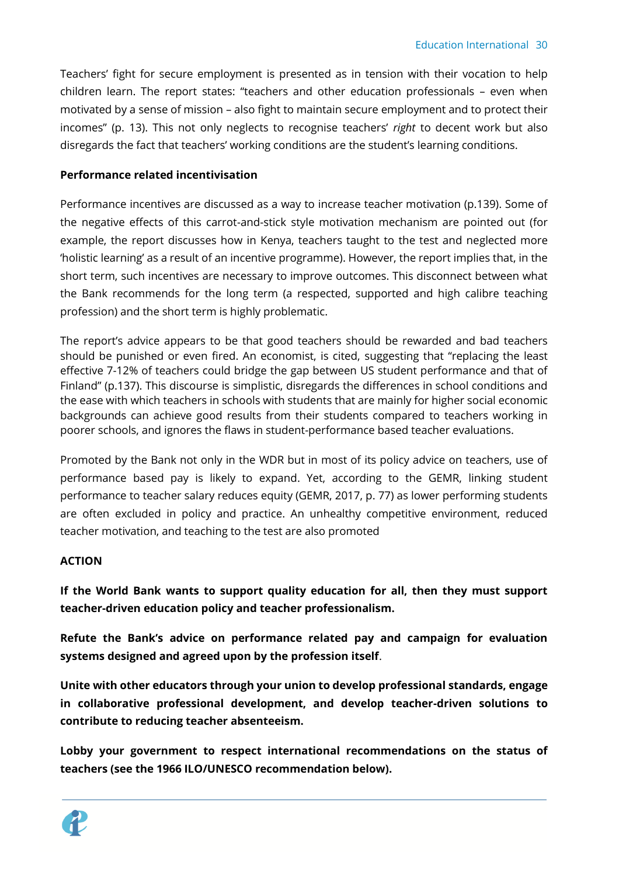Teachers' fight for secure employment is presented as in tension with their vocation to help children learn. The report states: "teachers and other education professionals – even when motivated by a sense of mission – also fight to maintain secure employment and to protect their incomes" (p. 13). This not only neglects to recognise teachers' *right* to decent work but also disregards the fact that teachers' working conditions are the student's learning conditions.

#### **Performance related incentivisation**

Performance incentives are discussed as a way to increase teacher motivation (p.139). Some of the negative effects of this carrot-and-stick style motivation mechanism are pointed out (for example, the report discusses how in Kenya, teachers taught to the test and neglected more 'holistic learning' as a result of an incentive programme). However, the report implies that, in the short term, such incentives are necessary to improve outcomes. This disconnect between what the Bank recommends for the long term (a respected, supported and high calibre teaching profession) and the short term is highly problematic.

The report's advice appears to be that good teachers should be rewarded and bad teachers should be punished or even fired. An economist, is cited, suggesting that "replacing the least effective 7-12% of teachers could bridge the gap between US student performance and that of Finland" (p.137). This discourse is simplistic, disregards the differences in school conditions and the ease with which teachers in schools with students that are mainly for higher social economic backgrounds can achieve good results from their students compared to teachers working in poorer schools, and ignores the flaws in student-performance based teacher evaluations.

Promoted by the Bank not only in the WDR but in most of its policy advice on teachers, use of performance based pay is likely to expand. Yet, according to the GEMR, linking student performance to teacher salary reduces equity (GEMR, 2017, p. 77) as lower performing students are often excluded in policy and practice. An unhealthy competitive environment, reduced teacher motivation, and teaching to the test are also promoted

#### **ACTION**

**If the World Bank wants to support quality education for all, then they must support teacher-driven education policy and teacher professionalism.** 

**Refute the Bank's advice on performance related pay and campaign for evaluation systems designed and agreed upon by the profession itself**.

**Unite with other educators through your union to develop professional standards, engage in collaborative professional development, and develop teacher-driven solutions to contribute to reducing teacher absenteeism.** 

**Lobby your government to respect international recommendations on the status of teachers (see the 1966 ILO/UNESCO recommendation below).** 

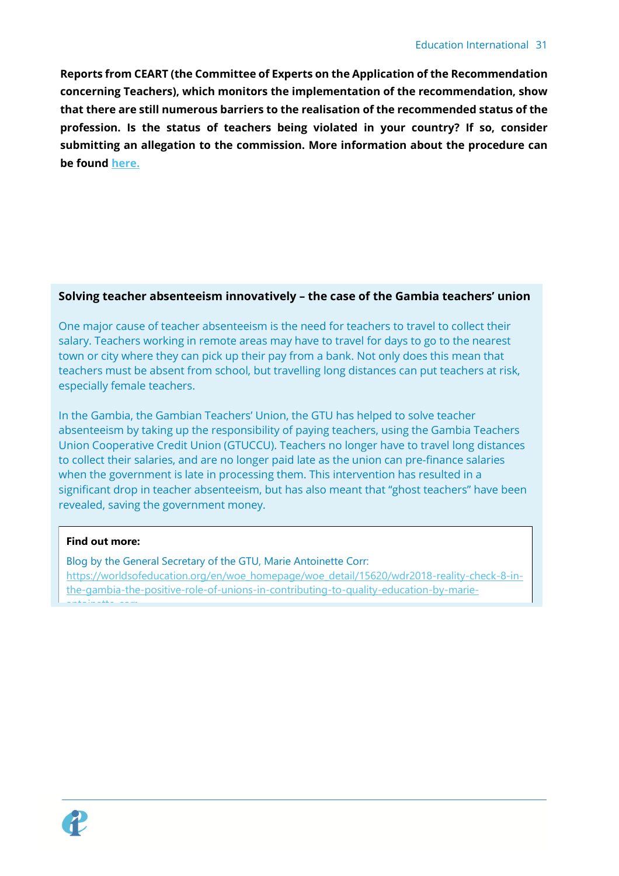**Reports from CEART (the Committee of Experts on the Application of the Recommendation concerning Teachers), which monitors the implementation of the recommendation, show that there are still numerous barriers to the realisation of the recommended status of the profession. Is the status of teachers being violated in your country? If so, consider submitting an allegation to the commission. More information about the procedure can be found [here.](http://www.ilo.org/wcmsp5/groups/public/---ed_dialogue/---sector/documents/genericdocument/wcms_368325.pdf?_cldee=amVubmlmZXIudWxyaWNrQGVpLWllLm9yZw%3d%3d&recipientid=contact-1a947bba1269e611bf3b005056ad0002-37b3be70abbf493dabad3814e7ac2103&esid=f5fd30d2-7a88-44de-a0f3-1927c5044560&urlid=2)**

## **Solving teacher absenteeism innovatively – the case of the Gambia teachers' union**

One major cause of teacher absenteeism is the need for teachers to travel to collect their salary. Teachers working in remote areas may have to travel for days to go to the nearest town or city where they can pick up their pay from a bank. Not only does this mean that teachers must be absent from school, but travelling long distances can put teachers at risk, especially female teachers.

In the Gambia, the Gambian Teachers' Union, the GTU has helped to solve teacher absenteeism by taking up the responsibility of paying teachers, using the Gambia Teachers Union Cooperative Credit Union (GTUCCU). Teachers no longer have to travel long distances to collect their salaries, and are no longer paid late as the union can pre-finance salaries when the government is late in processing them. This intervention has resulted in a significant drop in teacher absenteeism, but has also meant that "ghost teachers" have been revealed, saving the government money.

#### **Find out more:**

Blog by the General Secretary of the GTU, Marie Antoinette Corr: https://worldsofeducation.org/en/woe\_homepage/woe\_detail/15620/wdr2018-reality-check-8-inthe-gambia-the-positive-role-of-unions-in-contributing-to-quality-education-by-marieantoinette-corr

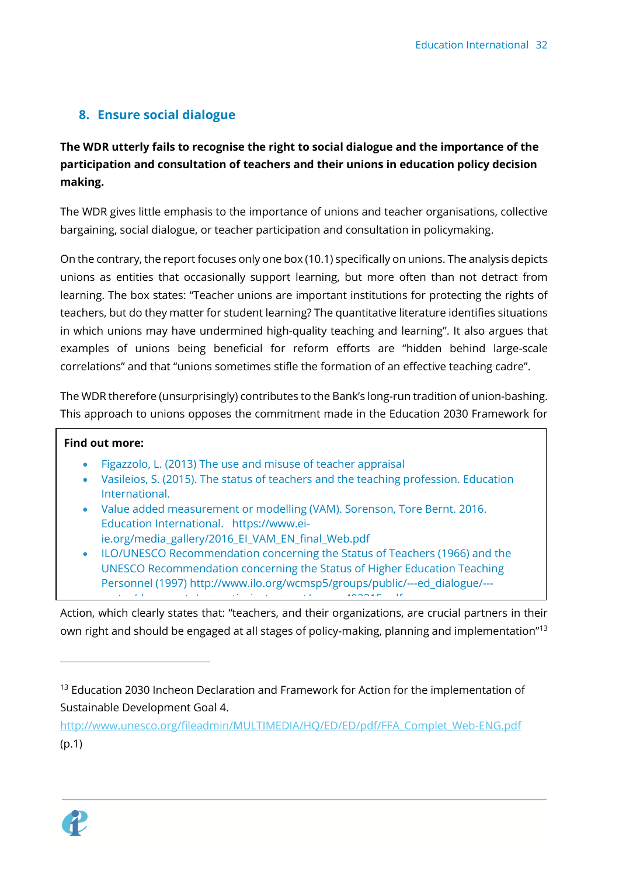## <span id="page-31-0"></span>**8. Ensure social dialogue**

## **The WDR utterly fails to recognise the right to social dialogue and the importance of the participation and consultation of teachers and their unions in education policy decision making.**

The WDR gives little emphasis to the importance of unions and teacher organisations, collective bargaining, social dialogue, or teacher participation and consultation in policymaking.

On the contrary, the report focuses only one box (10.1) specifically on unions. The analysis depicts unions as entities that occasionally support learning, but more often than not detract from learning. The box states: "Teacher unions are important institutions for protecting the rights of teachers, but do they matter for student learning? The quantitative literature identifies situations in which unions may have undermined high-quality teaching and learning". It also argues that examples of unions being beneficial for reform efforts are "hidden behind large-scale correlations" and that "unions sometimes stifle the formation of an effective teaching cadre".

The WDR therefore (unsurprisingly) contributes to the Bank's long-run tradition of union-bashing. This approach to unions opposes the commitment made in the Education 2030 Framework for

## **Find out more:**

- Figazzolo, L. (2013) [The use and misuse of teacher appraisal](http://download.ei-ie.org/Docs/WebDepot/TeacherAppraisal.pdf)
- Vasileios, S. (2015). The status of teachers and the teaching profession. Education International.
- Value added measurement or modelling (VAM). Sorenson, Tore Bernt. 2016. Education International. [https://www.ei](https://www.ei-ie.org/media_gallery/2016_EI_VAM_EN_final_Web.pdf)[ie.org/media\\_gallery/2016\\_EI\\_VAM\\_EN\\_final\\_Web.pdf](https://www.ei-ie.org/media_gallery/2016_EI_VAM_EN_final_Web.pdf)
- ILO/UNESCO Recommendation concerning the Status of Teachers (1966) and the UNESCO Recommendation concerning the Status of Higher Education Teaching Personnel (1997) [http://www.ilo.org/wcmsp5/groups/public/---ed\\_dialogue/--](http://www.ilo.org/wcmsp5/groups/public/---ed_dialogue/---sector/documents/normativeinstrument/wcms_493315.pdf) sector/documents/normative/ $\epsilon$  -document/webs/normative/ $\epsilon$

Action, which clearly states that: "teachers, and their organizations, are crucial partners in their own right and should be engaged at all stages of policy-making, planning and implementation"<sup>13</sup>

[http://www.unesco.org/fileadmin/MULTIMEDIA/HQ/ED/ED/pdf/FFA\\_Complet\\_Web-ENG.pdf](http://www.unesco.org/fileadmin/MULTIMEDIA/HQ/ED/ED/pdf/FFA_Complet_Web-ENG.pdf) (p.1)



<sup>&</sup>lt;sup>13</sup> Education 2030 Incheon Declaration and Framework for Action for the implementation of Sustainable Development Goal 4.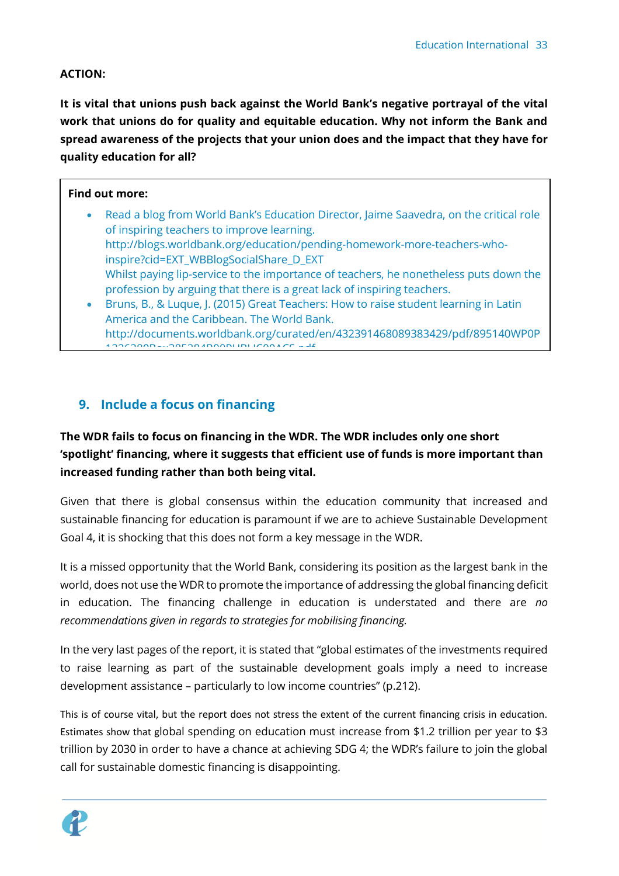## **ACTION:**

**It is vital that unions push back against the World Bank's negative portrayal of the vital work that unions do for quality and equitable education. Why not inform the Bank and spread awareness of the projects that your union does and the impact that they have for quality education for all?** 

## **Find out more:**

- Read a blog from World Bank's Education Director, Jaime Saavedra, on the critical role of inspiring teachers to improve learning. [http://blogs.worldbank.org/education/pending-homework-more-teachers-who](http://blogs.worldbank.org/education/pending-homework-more-teachers-who-inspire?cid=EXT_WBBlogSocialShare_D_EXT)[inspire?cid=EXT\\_WBBlogSocialShare\\_D\\_EXT](http://blogs.worldbank.org/education/pending-homework-more-teachers-who-inspire?cid=EXT_WBBlogSocialShare_D_EXT) Whilst paying lip-service to the importance of teachers, he nonetheless puts down the profession by arguing that there is a great lack of inspiring teachers.
- Bruns, B., & Luque, J. (2015) Great Teachers: How to raise student learning in Latin America and the Caribbean. The World Bank. [http://documents.worldbank.org/curated/en/432391468089383429/pdf/895140WP0P](http://documents.worldbank.org/curated/en/432391468089383429/pdf/895140WP0P1226380Box385284B00PUBLIC00ACS.pdf) 1226300Box385284B00BUBLIC00ACG.pdf

## <span id="page-32-0"></span>**9. Include a focus on financing**

**The WDR fails to focus on financing in the WDR. The WDR includes only one short 'spotlight' financing, where it suggests that efficient use of funds is more important than increased funding rather than both being vital.** 

Given that there is global consensus within the education community that increased and sustainable financing for education is paramount if we are to achieve Sustainable Development Goal 4, it is shocking that this does not form a key message in the WDR.

It is a missed opportunity that the World Bank, considering its position as the largest bank in the world, does not use the WDR to promote the importance of addressing the global financing deficit in education. The financing challenge in education is understated and there are *no recommendations given in regards to strategies for mobilising financing.* 

In the very last pages of the report, it is stated that "global estimates of the investments required to raise learning as part of the sustainable development goals imply a need to increase development assistance – particularly to low income countries" (p.212).

This is of course vital, but the report does not stress the extent of the current financing crisis in education. Estimates show that global spending on education must increase from \$1.2 trillion per year to \$3 trillion by 2030 in order to have a chance at achieving SDG 4; the WDR's failure to join the global call for sustainable domestic financing is disappointing.

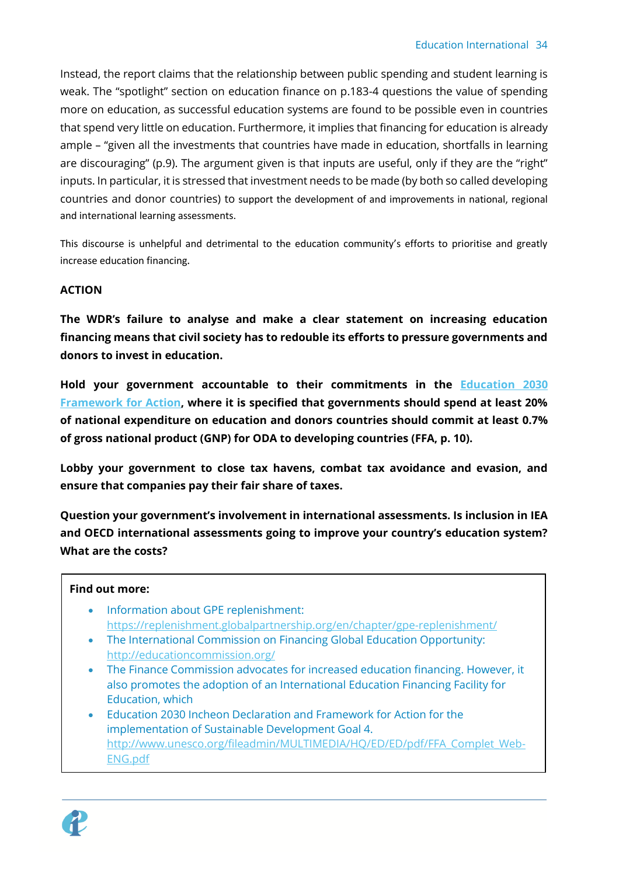Instead, the report claims that the relationship between public spending and student learning is weak. The "spotlight" section on education finance on p.183-4 questions the value of spending more on education, as successful education systems are found to be possible even in countries that spend very little on education. Furthermore, it implies that financing for education is already ample – "given all the investments that countries have made in education, shortfalls in learning are discouraging" (p.9). The argument given is that inputs are useful, only if they are the "right" inputs. In particular, it is stressed that investment needs to be made (by both so called developing countries and donor countries) to support the development of and improvements in national, regional and international learning assessments.

This discourse is unhelpful and detrimental to the education community's efforts to prioritise and greatly increase education financing.

## **ACTION**

**The WDR's failure to analyse and make a clear statement on increasing education financing means that civil society has to redouble its efforts to pressure governments and donors to invest in education.** 

**Hold your government accountable to their commitments in the [Education 2030](http://www.unesco.org/fileadmin/MULTIMEDIA/HQ/ED/ED/pdf/FFA_Complet_Web-ENG.pdf) [Framework for Action,](http://www.unesco.org/fileadmin/MULTIMEDIA/HQ/ED/ED/pdf/FFA_Complet_Web-ENG.pdf) where it is specified that governments should spend at least 20% of national expenditure on education and donors countries should commit at least 0.7% of gross national product (GNP) for ODA to developing countries (FFA, p. 10).**

**Lobby your government to close tax havens, combat tax avoidance and evasion, and ensure that companies pay their fair share of taxes.** 

**Question your government's involvement in international assessments. Is inclusion in IEA and OECD international assessments going to improve your country's education system? What are the costs?** 

## **Find out more:**

- Information about GPE replenishment: <https://replenishment.globalpartnership.org/en/chapter/gpe-replenishment/>
- The International Commission on Financing Global Education Opportunity: <http://educationcommission.org/>
- The Finance Commission advocates for increased education financing. However, it also promotes the adoption of an International Education Financing Facility for Education, which
- Education 2030 Incheon Declaration and Framework for Action for the implementation of Sustainable Development Goal 4. [http://www.unesco.org/fileadmin/MULTIMEDIA/HQ/ED/ED/pdf/FFA\\_Complet\\_Web-](http://www.unesco.org/fileadmin/MULTIMEDIA/HQ/ED/ED/pdf/FFA_Complet_Web-ENG.pdf)[ENG.pdf](http://www.unesco.org/fileadmin/MULTIMEDIA/HQ/ED/ED/pdf/FFA_Complet_Web-ENG.pdf)

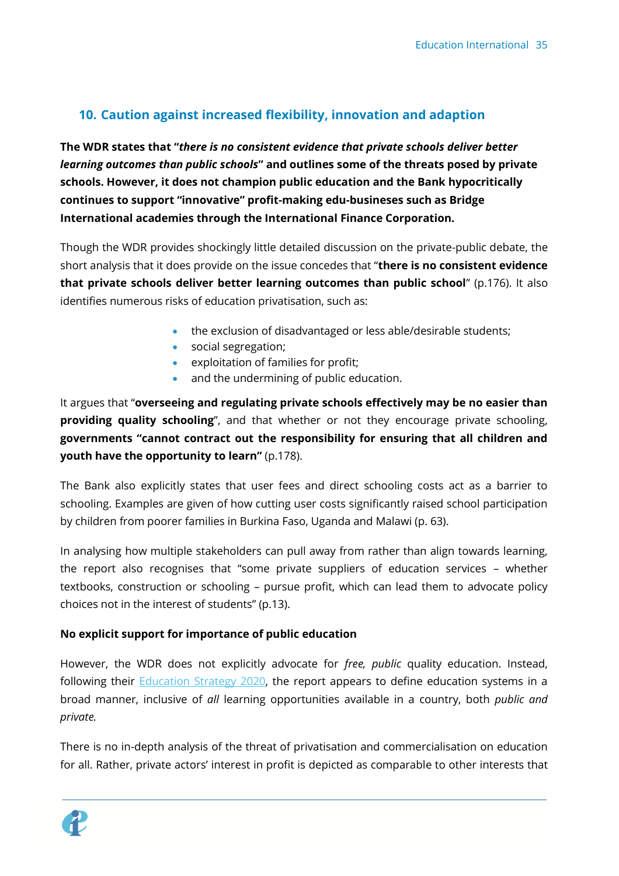## <span id="page-34-0"></span>**10. Caution against increased flexibility, innovation and adaption**

**The WDR states that "***there is no consistent evidence that private schools deliver better learning outcomes than public schools***" and outlines some of the threats posed by private schools. However, it does not champion public education and the Bank hypocritically continues to support "innovative" profit-making edu-busineses such as Bridge International academies through the International Finance Corporation.** 

Though the WDR provides shockingly little detailed discussion on the private-public debate, the short analysis that it does provide on the issue concedes that "**there is no consistent evidence that private schools deliver better learning outcomes than public school**" (p.176). It also identifies numerous risks of education privatisation, such as:

- the exclusion of disadvantaged or less able/desirable students;
- social segregation;
- exploitation of families for profit;
- and the undermining of public education.

It argues that "**overseeing and regulating private schools effectively may be no easier than providing quality schooling**", and that whether or not they encourage private schooling, **governments "cannot contract out the responsibility for ensuring that all children and youth have the opportunity to learn"** (p.178).

The Bank also explicitly states that user fees and direct schooling costs act as a barrier to schooling. Examples are given of how cutting user costs significantly raised school participation by children from poorer families in Burkina Faso, Uganda and Malawi (p. 63).

In analysing how multiple stakeholders can pull away from rather than align towards learning, the report also recognises that "some private suppliers of education services – whether textbooks, construction or schooling – pursue profit, which can lead them to advocate policy choices not in the interest of students" (p.13).

## **No explicit support for importance of public education**

However, the WDR does not explicitly advocate for *free, public* quality education. Instead, following their **Education Strategy 2020**, the report appears to define education systems in a broad manner, inclusive of *all* learning opportunities available in a country, both *public and private.*

There is no in-depth analysis of the threat of privatisation and commercialisation on education for all. Rather, private actors' interest in profit is depicted as comparable to other interests that

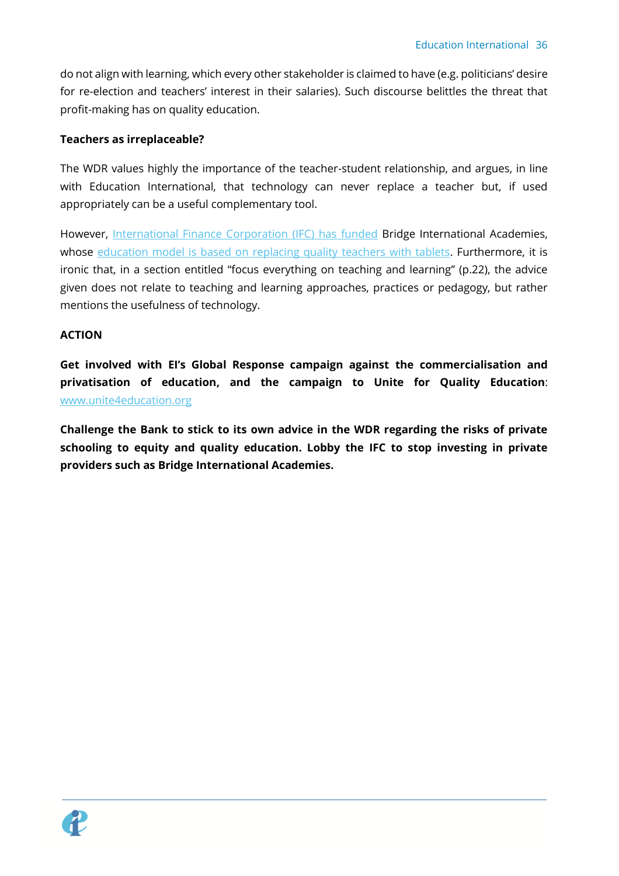do not align with learning, which every other stakeholder is claimed to have (e.g. politicians' desire for re-election and teachers' interest in their salaries). Such discourse belittles the threat that profit-making has on quality education.

## **Teachers as irreplaceable?**

The WDR values highly the importance of the teacher-student relationship, and argues, in line with Education International, that technology can never replace a teacher but, if used appropriately can be a useful complementary tool.

However, [International Finance Corporation \(IFC\) has funded](http://www.ifc.org/wps/wcm/connect/news_ext_content/ifc_external_corporate_site/news+and+events/news/bridgeschools_feature) Bridge International Academies, whose [education model is based on replacing quality teachers with tablets.](https://download.ei-ie.org/Docs/WebDepot/DOC_Final_28sept.pdf) Furthermore, it is ironic that, in a section entitled "focus everything on teaching and learning" (p.22), the advice given does not relate to teaching and learning approaches, practices or pedagogy, but rather mentions the usefulness of technology.

#### **ACTION**

**Get involved with EI's Global Response campaign against the commercialisation and privatisation of education, and the campaign to Unite for Quality Education**: [www.unite4education.org](http://www.unite4education.org/)

**Challenge the Bank to stick to its own advice in the WDR regarding the risks of private schooling to equity and quality education. Lobby the IFC to stop investing in private providers such as Bridge International Academies.** 

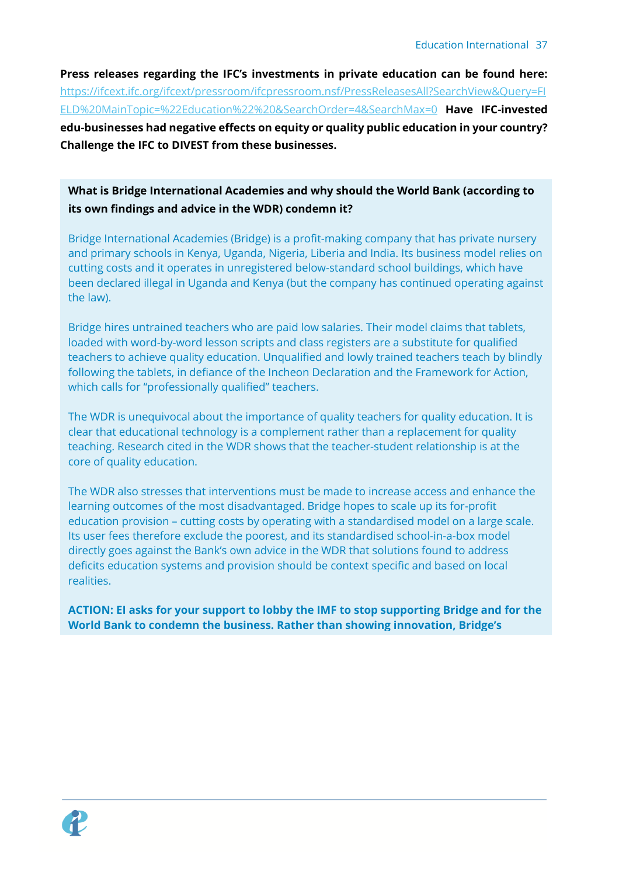**Press releases regarding the IFC's investments in private education can be found here:**  [https://ifcext.ifc.org/ifcext/pressroom/ifcpressroom.nsf/PressReleasesAll?SearchView&Query=FI](https://ifcext.ifc.org/ifcext/pressroom/ifcpressroom.nsf/PressReleasesAll?SearchView&Query=FIELD%20MainTopic=%22Education%22%20&SearchOrder=4&SearchMax=0) [ELD%20MainTopic=%22Education%22%20&SearchOrder=4&SearchMax=0](https://ifcext.ifc.org/ifcext/pressroom/ifcpressroom.nsf/PressReleasesAll?SearchView&Query=FIELD%20MainTopic=%22Education%22%20&SearchOrder=4&SearchMax=0) **Have IFC-invested edu-businesses had negative effects on equity or quality public education in your country? Challenge the IFC to DIVEST from these businesses.** 

## **What is Bridge International Academies and why should the World Bank (according to its own findings and advice in the WDR) condemn it?**

Bridge International Academies (Bridge) is a profit-making company that has private nursery and primary schools in Kenya, Uganda, Nigeria, Liberia and India. Its business model relies on cutting costs and it operates in unregistered below-standard school buildings, which have been declared illegal in Uganda and Kenya (but the company has continued operating against the law).

Bridge hires untrained teachers who are paid low salaries. Their model claims that tablets, loaded with word-by-word lesson scripts and class registers are a substitute for qualified teachers to achieve quality education. Unqualified and lowly trained teachers teach by blindly following the tablets, in defiance of the Incheon Declaration and the Framework for Action, which calls for "professionally qualified" teachers.

The WDR is unequivocal about the importance of quality teachers for quality education. It is clear that educational technology is a complement rather than a replacement for quality teaching. Research cited in the WDR shows that the teacher-student relationship is at the core of quality education.

The WDR also stresses that interventions must be made to increase access and enhance the learning outcomes of the most disadvantaged. Bridge hopes to scale up its for-profit education provision – cutting costs by operating with a standardised model on a large scale. Its user fees therefore exclude the poorest, and its standardised school-in-a-box model directly goes against the Bank's own advice in the WDR that solutions found to address deficits education systems and provision should be context specific and based on local realities.

**ACTION: EI asks for your support to lobby the IMF to stop supporting Bridge and for the World Bank to condemn the business. Rather than showing innovation, Bridge's** 

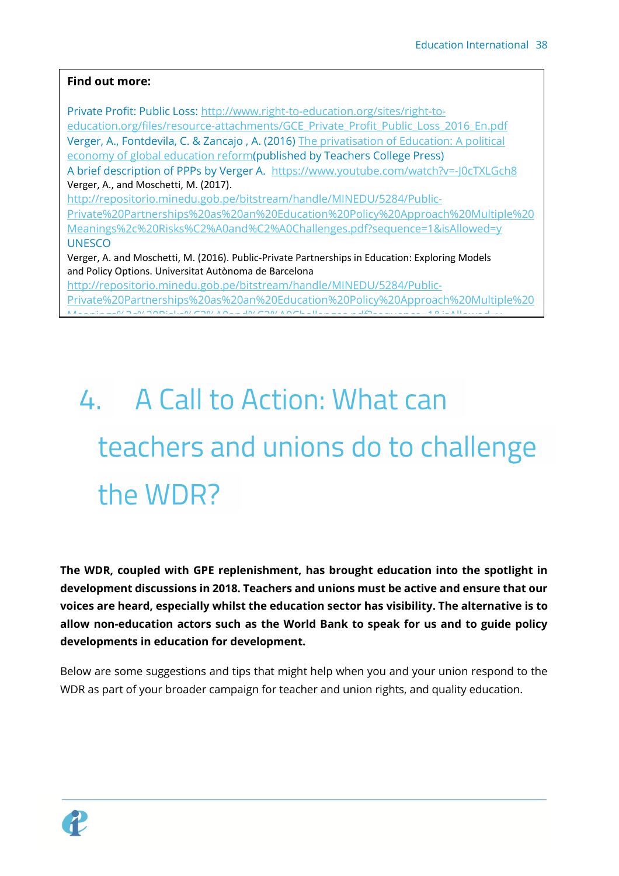## **Find out more:**

Private Profit: Public Loss: [http://www.right-to-education.org/sites/right-to](http://www.right-to-education.org/sites/right-to-education.org/files/resource-attachments/GCE_Private_Profit_Public_Loss_2016_En.pdf)[education.org/files/resource-attachments/GCE\\_Private\\_Profit\\_Public\\_Loss\\_2016\\_En.pdf](http://www.right-to-education.org/sites/right-to-education.org/files/resource-attachments/GCE_Private_Profit_Public_Loss_2016_En.pdf) Verger, A., Fontdevila, C. & Zancajo , A. (2016) [The privatisation of Education: A political](https://www.amazon.com/Privatization-Education-International-Perspectives-Educational/dp/0807757594)  [economy of global education reform\(](https://www.amazon.com/Privatization-Education-International-Perspectives-Educational/dp/0807757594)published by Teachers College Press) A brief description of PPPs by Verger A. <https://www.youtube.com/watch?v=-J0cTXLGch8> Verger, A., and Moschetti, M. (2017). [http://repositorio.minedu.gob.pe/bitstream/handle/MINEDU/5284/Public-](http://repositorio.minedu.gob.pe/bitstream/handle/MINEDU/5284/Public-Private%20Partnerships%20as%20an%20Education%20Policy%20Approach%20Multiple%20Meanings%2c%20Risks%C2%A0and%C2%A0Challenges.pdf?sequence=1&isAllowed=y)[Private%20Partnerships%20as%20an%20Education%20Policy%20Approach%20Multiple%20](http://repositorio.minedu.gob.pe/bitstream/handle/MINEDU/5284/Public-Private%20Partnerships%20as%20an%20Education%20Policy%20Approach%20Multiple%20Meanings%2c%20Risks%C2%A0and%C2%A0Challenges.pdf?sequence=1&isAllowed=y) [Meanings%2c%20Risks%C2%A0and%C2%A0Challenges.pdf?sequence=1&isAllowed=y](http://repositorio.minedu.gob.pe/bitstream/handle/MINEDU/5284/Public-Private%20Partnerships%20as%20an%20Education%20Policy%20Approach%20Multiple%20Meanings%2c%20Risks%C2%A0and%C2%A0Challenges.pdf?sequence=1&isAllowed=y) **UNESCO** Verger, A. and Moschetti, M. (2016). Public-Private Partnerships in Education: Exploring Models and Policy Options. Universitat Autònoma de Barcelona [http://repositorio.minedu.gob.pe/bitstream/handle/MINEDU/5284/Public-](http://repositorio.minedu.gob.pe/bitstream/handle/MINEDU/5284/Public-Private%20Partnerships%20as%20an%20Education%20Policy%20Approach%20Multiple%20Meanings%2c%20Risks%C2%A0and%C2%A0Challenges.pdf?sequence=1&isAllowed=y)[Private%20Partnerships%20as%20an%20Education%20Policy%20Approach%20Multiple%20](http://repositorio.minedu.gob.pe/bitstream/handle/MINEDU/5284/Public-Private%20Partnerships%20as%20an%20Education%20Policy%20Approach%20Multiple%20Meanings%2c%20Risks%C2%A0and%C2%A0Challenges.pdf?sequence=1&isAllowed=y)  $M_{\odot}$  and  $M_{\odot}$  and  $M_{\odot}$  and  $M_{\odot}$  and  $M_{\odot}$  and  $M_{\odot}$  and  $M_{\odot}$  and  $M_{\odot}$  and  $M_{\odot}$  and  $M_{\odot}$  and  $M_{\odot}$  and  $M_{\odot}$  and  $M_{\odot}$  and  $M_{\odot}$  and  $M_{\odot}$  and  $M_{\odot}$  and  $M_{\odot}$  and

# <span id="page-37-0"></span>4. A Call to Action: What can teachers and unions do to challenge the WDR?

**The WDR, coupled with GPE replenishment, has brought education into the spotlight in development discussions in 2018. Teachers and unions must be active and ensure that our voices are heard, especially whilst the education sector has visibility. The alternative is to allow non-education actors such as the World Bank to speak for us and to guide policy developments in education for development.** 

Below are some suggestions and tips that might help when you and your union respond to the WDR as part of your broader campaign for teacher and union rights, and quality education.

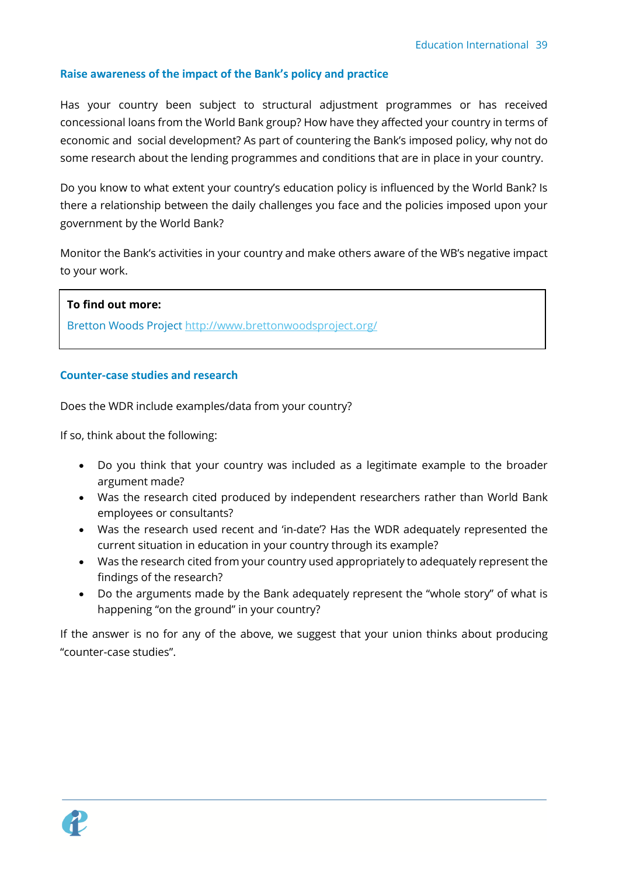### <span id="page-38-0"></span>**Raise awareness of the impact of the Bank's policy and practice**

Has your country been subject to structural adjustment programmes or has received concessional loans from the World Bank group? How have they affected your country in terms of economic and social development? As part of countering the Bank's imposed policy, why not do some research about the lending programmes and conditions that are in place in your country.

Do you know to what extent your country's education policy is influenced by the World Bank? Is there a relationship between the daily challenges you face and the policies imposed upon your government by the World Bank?

Monitor the Bank's activities in your country and make others aware of the WB's negative impact to your work.

#### **To find out more:**

Bretton Woods Project<http://www.brettonwoodsproject.org/>

#### <span id="page-38-1"></span>**Counter-case studies and research**

Does the WDR include examples/data from your country?

If so, think about the following:

- Do you think that your country was included as a legitimate example to the broader argument made?
- Was the research cited produced by independent researchers rather than World Bank employees or consultants?
- Was the research used recent and 'in-date'? Has the WDR adequately represented the current situation in education in your country through its example?
- Was the research cited from your country used appropriately to adequately represent the findings of the research?
- Do the arguments made by the Bank adequately represent the "whole story" of what is happening "on the ground" in your country?

If the answer is no for any of the above, we suggest that your union thinks about producing "counter-case studies".

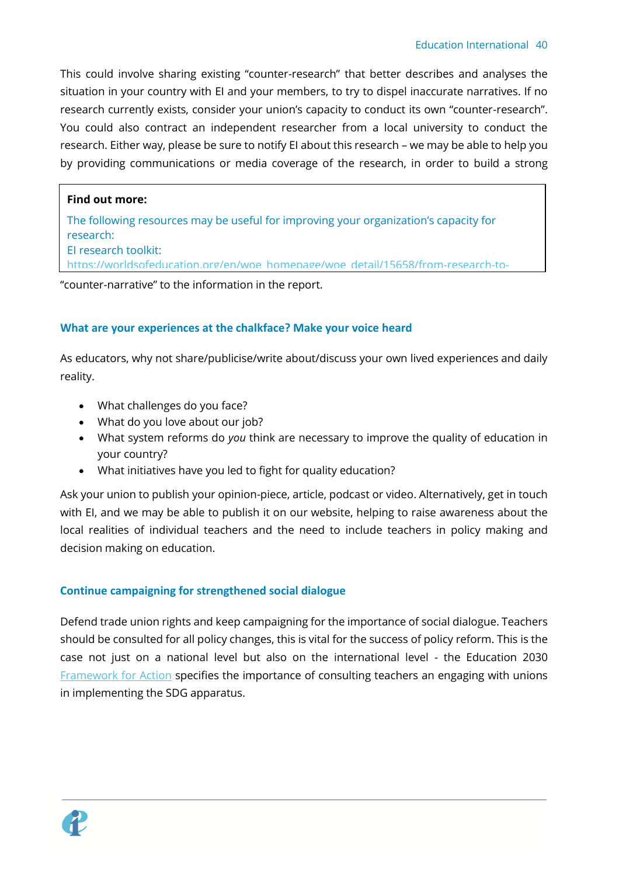This could involve sharing existing "counter-research" that better describes and analyses the situation in your country with EI and your members, to try to dispel inaccurate narratives. If no research currently exists, consider your union's capacity to conduct its own "counter-research". You could also contract an independent researcher from a local university to conduct the research. Either way, please be sure to notify EI about this research – we may be able to help you by providing communications or media coverage of the research, in order to build a strong

## **Find out more:**

The following resources may be useful for improving your organization's capacity for research: EI research toolkit:

[https://worldsofeducation.org/en/woe\\_homepage/woe\\_detail/15658/from-research-to-](https://worldsofeducation.org/en/woe_homepage/woe_detail/15658/from-research-to-advocacy-a-guide-to-planning-conducting-and-disseminating-research)

"counter-narrative" to the information in the report.  $\;$ 

#### <span id="page-39-0"></span>**What are your experiences at the chalkface? Make your voice heard**

As educators, why not share/publicise/write about/discuss your own lived experiences and daily reality.

- What challenges do you face?
- What do you love about our job?
- What system reforms do *you* think are necessary to improve the quality of education in your country?
- What initiatives have you led to fight for quality education?

Ask your union to publish your opinion-piece, article, podcast or video. Alternatively, get in touch with EI, and we may be able to publish it on our website, helping to raise awareness about the local realities of individual teachers and the need to include teachers in policy making and decision making on education.

## <span id="page-39-1"></span>**Continue campaigning for strengthened social dialogue**

Defend trade union rights and keep campaigning for the importance of social dialogue. Teachers should be consulted for all policy changes, this is vital for the success of policy reform. This is the case not just on a national level but also on the international level - the Education 2030 [Framework for Action](http://uis.unesco.org/sites/default/files/documents/education-2030-incheon-framework-for-action-implementation-of-sdg4-2016-en_2.pdf) specifies the importance of consulting teachers an engaging with unions in implementing the SDG apparatus.

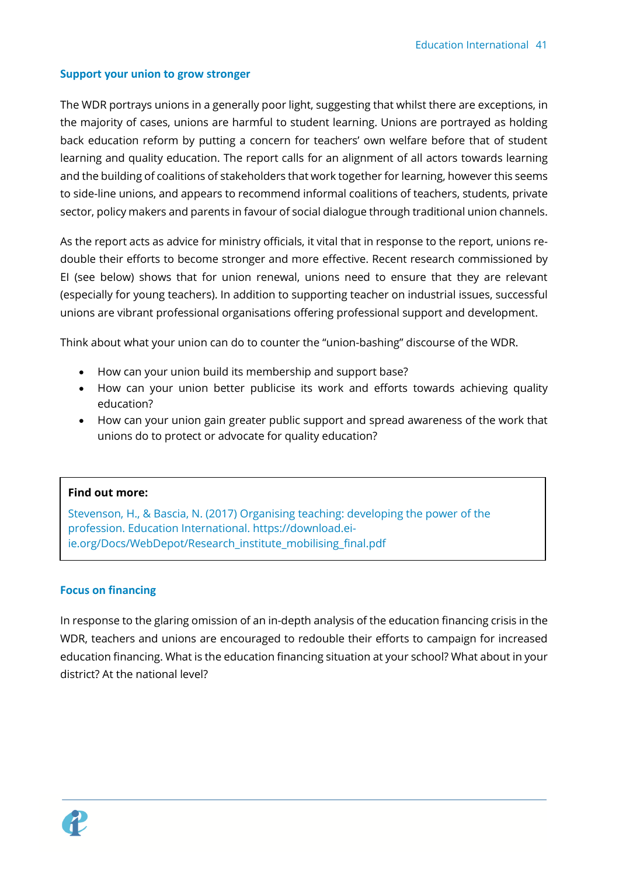#### <span id="page-40-0"></span>**Support your union to grow stronger**

The WDR portrays unions in a generally poor light, suggesting that whilst there are exceptions, in the majority of cases, unions are harmful to student learning. Unions are portrayed as holding back education reform by putting a concern for teachers' own welfare before that of student learning and quality education. The report calls for an alignment of all actors towards learning and the building of coalitions of stakeholders that work together for learning, however this seems to side-line unions, and appears to recommend informal coalitions of teachers, students, private sector, policy makers and parents in favour of social dialogue through traditional union channels.

As the report acts as advice for ministry officials, it vital that in response to the report, unions redouble their efforts to become stronger and more effective. Recent research commissioned by EI (see below) shows that for union renewal, unions need to ensure that they are relevant (especially for young teachers). In addition to supporting teacher on industrial issues, successful unions are vibrant professional organisations offering professional support and development.

Think about what your union can do to counter the "union-bashing" discourse of the WDR.

- How can your union build its membership and support base?
- How can your union better publicise its work and efforts towards achieving quality education?
- How can your union gain greater public support and spread awareness of the work that unions do to protect or advocate for quality education?

#### **Find out more:**

Stevenson, H., & Bascia, N. (2017) Organising teaching: developing the power of the profession. Education International. [https://download.ei](https://download.ei-ie.org/Docs/WebDepot/Research_institute_mobilising_final.pdf)[ie.org/Docs/WebDepot/Research\\_institute\\_mobilising\\_final.pdf](https://download.ei-ie.org/Docs/WebDepot/Research_institute_mobilising_final.pdf)

## <span id="page-40-1"></span>**Focus on financing**

In response to the glaring omission of an in-depth analysis of the education financing crisis in the WDR, teachers and unions are encouraged to redouble their efforts to campaign for increased education financing. What is the education financing situation at your school? What about in your district? At the national level?

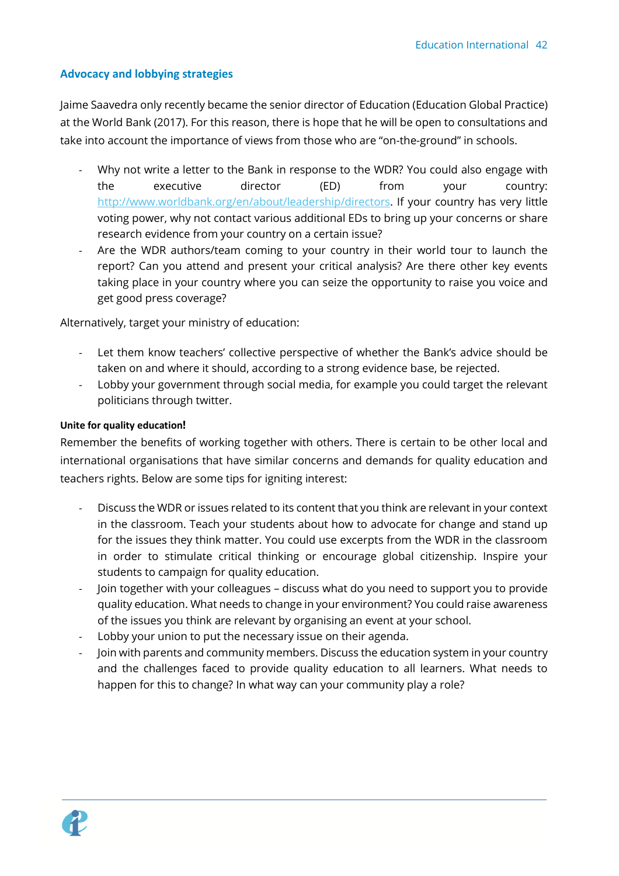### <span id="page-41-0"></span>**Advocacy and lobbying strategies**

Jaime Saavedra only recently became the senior director of Education (Education Global Practice) at the World Bank (2017). For this reason, there is hope that he will be open to consultations and take into account the importance of views from those who are "on-the-ground" in schools.

- Why not write a letter to the Bank in response to the WDR? You could also engage with the executive director (ED) from your country: [http://www.worldbank.org/en/about/leadership/directors.](http://www.worldbank.org/en/about/leadership/directors) If your country has very little voting power, why not contact various additional EDs to bring up your concerns or share research evidence from your country on a certain issue?
- Are the WDR authors/team coming to your country in their world tour to launch the report? Can you attend and present your critical analysis? Are there other key events taking place in your country where you can seize the opportunity to raise you voice and get good press coverage?

Alternatively, target your ministry of education:

- Let them know teachers' collective perspective of whether the Bank's advice should be taken on and where it should, according to a strong evidence base, be rejected.
- Lobby your government through social media, for example you could target the relevant politicians through twitter.

#### <span id="page-41-1"></span>**Unite for quality education!**

Remember the benefits of working together with others. There is certain to be other local and international organisations that have similar concerns and demands for quality education and teachers rights. Below are some tips for igniting interest:

- Discuss the WDR or issues related to its content that you think are relevant in your context in the classroom. Teach your students about how to advocate for change and stand up for the issues they think matter. You could use excerpts from the WDR in the classroom in order to stimulate critical thinking or encourage global citizenship. Inspire your students to campaign for quality education.
- Join together with your colleagues discuss what do you need to support you to provide quality education. What needs to change in your environment? You could raise awareness of the issues you think are relevant by organising an event at your school.
- Lobby your union to put the necessary issue on their agenda.
- Join with parents and community members. Discuss the education system in your country and the challenges faced to provide quality education to all learners. What needs to happen for this to change? In what way can your community play a role?

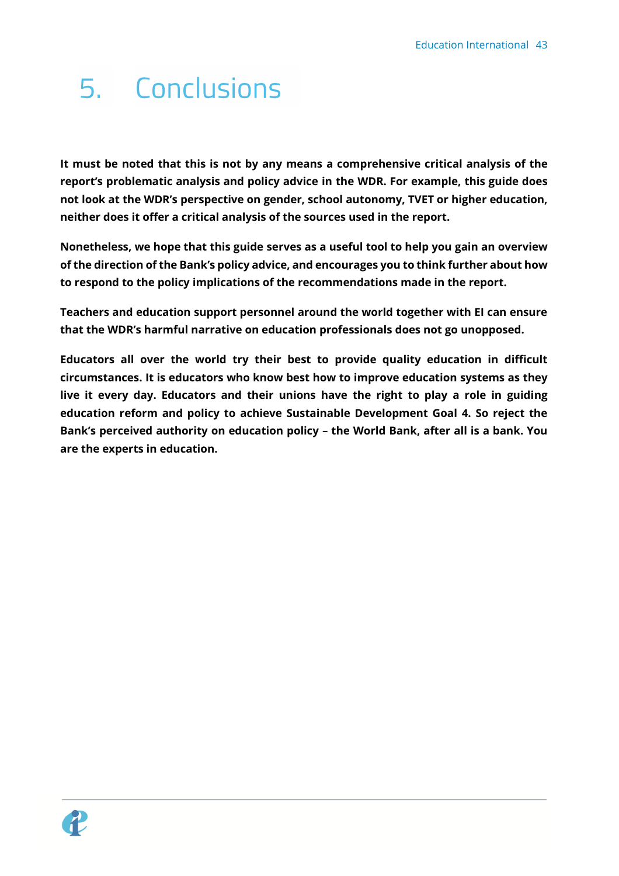## <span id="page-42-0"></span>5. Conclusions

**It must be noted that this is not by any means a comprehensive critical analysis of the report's problematic analysis and policy advice in the WDR. For example, this guide does not look at the WDR's perspective on gender, school autonomy, TVET or higher education, neither does it offer a critical analysis of the sources used in the report.** 

**Nonetheless, we hope that this guide serves as a useful tool to help you gain an overview of the direction of the Bank's policy advice, and encourages you to think further about how to respond to the policy implications of the recommendations made in the report.** 

**Teachers and education support personnel around the world together with EI can ensure that the WDR's harmful narrative on education professionals does not go unopposed.** 

**Educators all over the world try their best to provide quality education in difficult circumstances. It is educators who know best how to improve education systems as they live it every day. Educators and their unions have the right to play a role in guiding education reform and policy to achieve Sustainable Development Goal 4. So reject the Bank's perceived authority on education policy – the World Bank, after all is a bank. You are the experts in education.**